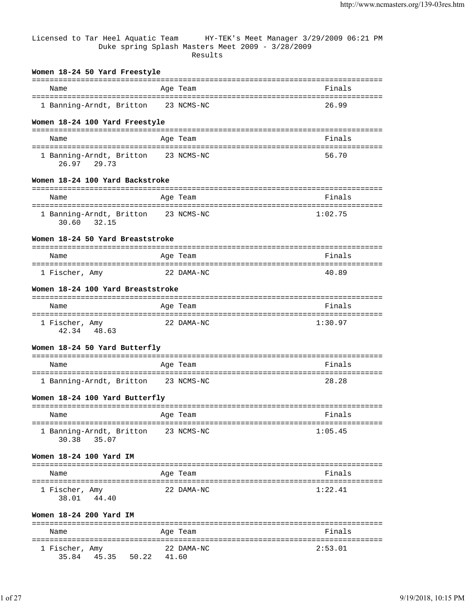Licensed to Tar Heel Aquatic Team HY-TEK's Meet Manager 3/29/2009 06:21 PM Duke spring Splash Masters Meet 2009 - 3/28/2009 Results

| Women 18-24 50 Yard Freestyle                      |            |          |
|----------------------------------------------------|------------|----------|
| Name                                               | Age Team   | Finals   |
| 1 Banning-Arndt, Britton 23 NCMS-NC                |            | 26.99    |
|                                                    |            |          |
| Women 18-24 100 Yard Freestyle                     |            |          |
| Name                                               | Age Team   | Finals   |
|                                                    |            |          |
| 1 Banning-Arndt, Britton 23 NCMS-NC<br>26.97 29.73 |            | 56.70    |
| Women 18-24 100 Yard Backstroke                    |            |          |
| Name                                               | Age Team   | Finals   |
| 1 Banning-Arndt, Britton 23 NCMS-NC<br>30.60 32.15 |            | 1:02.75  |
| Women 18-24 50 Yard Breaststroke                   |            |          |
| Name                                               | Age Team   | Finals   |
| 1 Fischer, Amy                                     | 22 DAMA-NC | 40.89    |
| Women 18-24 100 Yard Breaststroke                  |            |          |
| Name                                               | Age Team   | Finals   |
|                                                    |            |          |
| 1 Fischer, Amy<br>42.34 48.63                      | 22 DAMA-NC | 1:30.97  |
| Women 18-24 50 Yard Butterfly                      |            |          |
| Name                                               | Age Team   | Finals   |
|                                                    |            |          |
| 1 Banning-Arndt, Britton 23 NCMS-NC                |            | 28.28    |
| Women 18-24 100 Yard Butterfly                     |            |          |
| Name                                               | Age Team   | Finals   |
|                                                    |            | ======== |
| 1 Banning-Arndt, Britton<br>30.38<br>35.07         | 23 NCMS-NC | 1:05.45  |
| Women 18-24 100 Yard IM                            |            |          |
| Name                                               | Age Team   | Finals   |
| 1 Fischer, Amy<br>38.01 44.40                      | 22 DAMA-NC | 1:22.41  |
| Women 18-24 200 Yard IM                            |            |          |
| Name                                               | Age Team   | Finals   |
| 1 Fischer, Amy                                     | 22 DAMA-NC | 2:53.01  |

35.84 45.35 50.22 41.60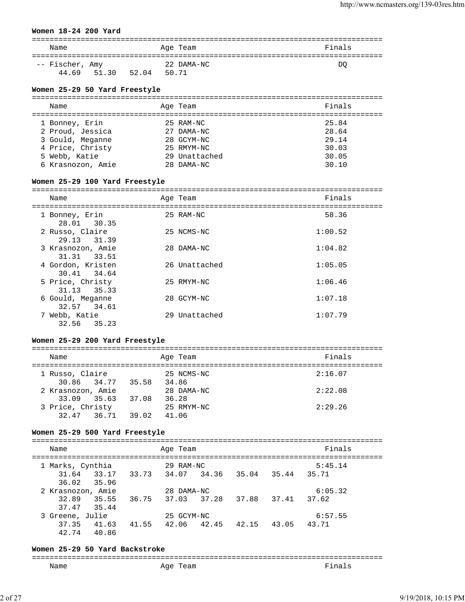#### **Women 18-24 200 Yard**

| Name            |       |       | Age Team   | Finals |
|-----------------|-------|-------|------------|--------|
| -- Fischer, Amy |       |       | 22 DAMA-NC | DO     |
| 44.69           | 51.30 | 52.04 | 50.71      |        |

#### **Women 25-29 50 Yard Freestyle**

| Name              | Age Team      | Finals |
|-------------------|---------------|--------|
| 1 Bonney, Erin    | 25 RAM-NC     | 25.84  |
| 2 Proud, Jessica  | 27 DAMA-NC    | 28.64  |
| 3 Gould, Meganne  | 28 GCYM-NC    | 29.14  |
| 4 Price, Christy  | 25 RMYM-NC    | 30.03  |
| 5 Webb, Katie     | 29 Unattached | 30.05  |
| 6 Krasnozon, Amie | 28 DAMA-NC    | 30.10  |
|                   |               |        |

#### **Women 25-29 100 Yard Freestyle**

| Name                             | Age Team      | Finals  |
|----------------------------------|---------------|---------|
| 1 Bonney, Erin<br>28.01 30.35    | 25 RAM-NC     | 58.36   |
| 2 Russo, Claire<br>29.13 31.39   | 25 NCMS-NC    | 1:00.52 |
| 3 Krasnozon, Amie<br>31.31 33.51 | 28 DAMA-NC    | 1:04.82 |
| 4 Gordon, Kristen<br>30.41 34.64 | 26 Unattached | 1:05.05 |
| 5 Price, Christy<br>31.13 35.33  | 25 RMYM-NC    | 1:06.46 |
| 6 Gould, Meganne<br>32.57 34.61  | 28 GCYM-NC    | 1:07.18 |
| 7 Webb, Katie<br>32.56 35.23     | 29 Unattached | 1:07.79 |

### **Women 25-29 200 Yard Freestyle**

| Name                               |       | Age Team            | Finals  |
|------------------------------------|-------|---------------------|---------|
| 1 Russo, Claire<br>30.86 34.77     | 35.58 | 25 NCMS-NC<br>34.86 | 2:16.07 |
| 2 Krasnozon, Amie<br>33.09 35.63   | 37.08 | 28 DAMA-NC<br>36.28 | 2:22.08 |
| 3 Price, Christy<br>32.47<br>36.71 | 39.02 | 25 RMYM-NC<br>41.06 | 2:29.26 |

#### **Women 25-29 500 Yard Freestyle**

===============================================================================

| Name                                |       | Age Team   |       |       |       | Finals  |  |
|-------------------------------------|-------|------------|-------|-------|-------|---------|--|
| 1 Marks, Cynthia                    |       | 29 RAM-NC  |       |       |       | 5:45.14 |  |
| 33.17<br>31.64                      | 33.73 | 34.07      | 34.36 | 35.04 | 35.44 | 35.71   |  |
| 36.02<br>35.96<br>2 Krasnozon, Amie |       | 28 DAMA-NC |       |       |       | 6:05.32 |  |
| 32.89<br>35.55                      | 36.75 | 37.03      | 37.28 | 37.88 | 37.41 | 37.62   |  |
| 37.47<br>35.44<br>3 Greene, Julie   |       | 25 GCYM-NC |       |       |       | 6:57.55 |  |
| 37.35<br>41.63                      | 41.55 | 42.06      | 42.45 | 42.15 | 43.05 | 43.71   |  |
| 42.74<br>40.86                      |       |            |       |       |       |         |  |

#### **Women 25-29 50 Yard Backstroke**

#### =============================================================================== Age Team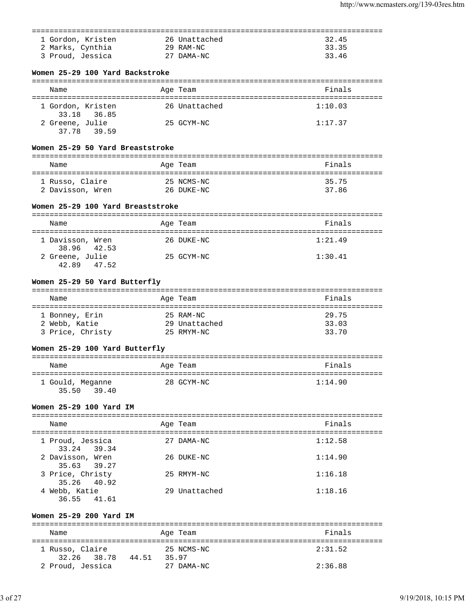| 1 Gordon, Kristen<br>32.45<br>26 Unattached<br>2 Marks, Cynthia<br>29 RAM-NC<br>33.35<br>3 Proud, Jessica<br>27 DAMA-NC<br>33.46<br>Women 25-29 100 Yard Backstroke<br>Finals<br>Age Team<br>Name<br>1:10.03<br>1 Gordon, Kristen<br>26 Unattached<br>33.18 36.85<br>2 Greene, Julie<br>25 GCYM-NC<br>1:17.37<br>37.78 39.59<br>Women 25-29 50 Yard Breaststroke<br>Finals<br>Name<br>Age Team<br>1 Russo, Claire<br>25 NCMS-NC<br>35.75<br>2 Davisson, Wren<br>26 DUKE-NC<br>37.86<br>Women 25-29 100 Yard Breaststroke<br>Finals<br>Age Team<br>Name<br>1 Davisson, Wren<br>26 DUKE-NC<br>1:21.49<br>38.96 42.53<br>2 Greene, Julie<br>25 GCYM-NC<br>1:30.41<br>42.89 47.52<br>Women 25-29 50 Yard Butterfly<br>Finals<br>Age Team<br>Name<br>25 RAM-NC<br>29.75<br>1 Bonney, Erin<br>29 Unattached<br>33.03<br>2 Webb, Katie<br>3 Price, Christy 25 RMYM-NC<br>33.70<br>Women 25-29 100 Yard Butterfly<br>Finals<br>and the Magnetic Preasurer and the Team<br>Name<br>28 GCYM-NC<br>1:14.90<br>1 Gould, Meganne<br>35.50 39.40<br>Women 25-29 100 Yard IM<br>Finals<br>Name<br>Age Team<br>1 Proud, Jessica<br>27 DAMA-NC<br>1:12.58<br>33.24 39.34<br>2 Davisson, Wren<br>26 DUKE-NC<br>1:14.90<br>35.63 39.27<br>3 Price, Christy<br>25 RMYM-NC<br>1:16.18<br>35.26<br>40.92<br>4 Webb, Katie<br>29 Unattached<br>1:18.16<br>36.55 41.61<br>Women 25-29 200 Yard IM<br>Finals<br>Name<br>Age Team<br>1 Russo, Claire<br>25 NCMS-NC<br>2:31.52<br>32.26 38.78 44.51 35.97<br>2 Proud, Jessica<br>27 DAMA-NC<br>2:36.88 |  |  |
|-----------------------------------------------------------------------------------------------------------------------------------------------------------------------------------------------------------------------------------------------------------------------------------------------------------------------------------------------------------------------------------------------------------------------------------------------------------------------------------------------------------------------------------------------------------------------------------------------------------------------------------------------------------------------------------------------------------------------------------------------------------------------------------------------------------------------------------------------------------------------------------------------------------------------------------------------------------------------------------------------------------------------------------------------------------------------------------------------------------------------------------------------------------------------------------------------------------------------------------------------------------------------------------------------------------------------------------------------------------------------------------------------------------------------------------------------------------------------------------------------------------------------------|--|--|
|                                                                                                                                                                                                                                                                                                                                                                                                                                                                                                                                                                                                                                                                                                                                                                                                                                                                                                                                                                                                                                                                                                                                                                                                                                                                                                                                                                                                                                                                                                                             |  |  |
|                                                                                                                                                                                                                                                                                                                                                                                                                                                                                                                                                                                                                                                                                                                                                                                                                                                                                                                                                                                                                                                                                                                                                                                                                                                                                                                                                                                                                                                                                                                             |  |  |
|                                                                                                                                                                                                                                                                                                                                                                                                                                                                                                                                                                                                                                                                                                                                                                                                                                                                                                                                                                                                                                                                                                                                                                                                                                                                                                                                                                                                                                                                                                                             |  |  |
|                                                                                                                                                                                                                                                                                                                                                                                                                                                                                                                                                                                                                                                                                                                                                                                                                                                                                                                                                                                                                                                                                                                                                                                                                                                                                                                                                                                                                                                                                                                             |  |  |
|                                                                                                                                                                                                                                                                                                                                                                                                                                                                                                                                                                                                                                                                                                                                                                                                                                                                                                                                                                                                                                                                                                                                                                                                                                                                                                                                                                                                                                                                                                                             |  |  |
|                                                                                                                                                                                                                                                                                                                                                                                                                                                                                                                                                                                                                                                                                                                                                                                                                                                                                                                                                                                                                                                                                                                                                                                                                                                                                                                                                                                                                                                                                                                             |  |  |
|                                                                                                                                                                                                                                                                                                                                                                                                                                                                                                                                                                                                                                                                                                                                                                                                                                                                                                                                                                                                                                                                                                                                                                                                                                                                                                                                                                                                                                                                                                                             |  |  |
|                                                                                                                                                                                                                                                                                                                                                                                                                                                                                                                                                                                                                                                                                                                                                                                                                                                                                                                                                                                                                                                                                                                                                                                                                                                                                                                                                                                                                                                                                                                             |  |  |
|                                                                                                                                                                                                                                                                                                                                                                                                                                                                                                                                                                                                                                                                                                                                                                                                                                                                                                                                                                                                                                                                                                                                                                                                                                                                                                                                                                                                                                                                                                                             |  |  |
|                                                                                                                                                                                                                                                                                                                                                                                                                                                                                                                                                                                                                                                                                                                                                                                                                                                                                                                                                                                                                                                                                                                                                                                                                                                                                                                                                                                                                                                                                                                             |  |  |
|                                                                                                                                                                                                                                                                                                                                                                                                                                                                                                                                                                                                                                                                                                                                                                                                                                                                                                                                                                                                                                                                                                                                                                                                                                                                                                                                                                                                                                                                                                                             |  |  |
|                                                                                                                                                                                                                                                                                                                                                                                                                                                                                                                                                                                                                                                                                                                                                                                                                                                                                                                                                                                                                                                                                                                                                                                                                                                                                                                                                                                                                                                                                                                             |  |  |
|                                                                                                                                                                                                                                                                                                                                                                                                                                                                                                                                                                                                                                                                                                                                                                                                                                                                                                                                                                                                                                                                                                                                                                                                                                                                                                                                                                                                                                                                                                                             |  |  |
|                                                                                                                                                                                                                                                                                                                                                                                                                                                                                                                                                                                                                                                                                                                                                                                                                                                                                                                                                                                                                                                                                                                                                                                                                                                                                                                                                                                                                                                                                                                             |  |  |
|                                                                                                                                                                                                                                                                                                                                                                                                                                                                                                                                                                                                                                                                                                                                                                                                                                                                                                                                                                                                                                                                                                                                                                                                                                                                                                                                                                                                                                                                                                                             |  |  |
|                                                                                                                                                                                                                                                                                                                                                                                                                                                                                                                                                                                                                                                                                                                                                                                                                                                                                                                                                                                                                                                                                                                                                                                                                                                                                                                                                                                                                                                                                                                             |  |  |
|                                                                                                                                                                                                                                                                                                                                                                                                                                                                                                                                                                                                                                                                                                                                                                                                                                                                                                                                                                                                                                                                                                                                                                                                                                                                                                                                                                                                                                                                                                                             |  |  |
|                                                                                                                                                                                                                                                                                                                                                                                                                                                                                                                                                                                                                                                                                                                                                                                                                                                                                                                                                                                                                                                                                                                                                                                                                                                                                                                                                                                                                                                                                                                             |  |  |
|                                                                                                                                                                                                                                                                                                                                                                                                                                                                                                                                                                                                                                                                                                                                                                                                                                                                                                                                                                                                                                                                                                                                                                                                                                                                                                                                                                                                                                                                                                                             |  |  |
|                                                                                                                                                                                                                                                                                                                                                                                                                                                                                                                                                                                                                                                                                                                                                                                                                                                                                                                                                                                                                                                                                                                                                                                                                                                                                                                                                                                                                                                                                                                             |  |  |
|                                                                                                                                                                                                                                                                                                                                                                                                                                                                                                                                                                                                                                                                                                                                                                                                                                                                                                                                                                                                                                                                                                                                                                                                                                                                                                                                                                                                                                                                                                                             |  |  |
|                                                                                                                                                                                                                                                                                                                                                                                                                                                                                                                                                                                                                                                                                                                                                                                                                                                                                                                                                                                                                                                                                                                                                                                                                                                                                                                                                                                                                                                                                                                             |  |  |
|                                                                                                                                                                                                                                                                                                                                                                                                                                                                                                                                                                                                                                                                                                                                                                                                                                                                                                                                                                                                                                                                                                                                                                                                                                                                                                                                                                                                                                                                                                                             |  |  |
|                                                                                                                                                                                                                                                                                                                                                                                                                                                                                                                                                                                                                                                                                                                                                                                                                                                                                                                                                                                                                                                                                                                                                                                                                                                                                                                                                                                                                                                                                                                             |  |  |
|                                                                                                                                                                                                                                                                                                                                                                                                                                                                                                                                                                                                                                                                                                                                                                                                                                                                                                                                                                                                                                                                                                                                                                                                                                                                                                                                                                                                                                                                                                                             |  |  |
|                                                                                                                                                                                                                                                                                                                                                                                                                                                                                                                                                                                                                                                                                                                                                                                                                                                                                                                                                                                                                                                                                                                                                                                                                                                                                                                                                                                                                                                                                                                             |  |  |
|                                                                                                                                                                                                                                                                                                                                                                                                                                                                                                                                                                                                                                                                                                                                                                                                                                                                                                                                                                                                                                                                                                                                                                                                                                                                                                                                                                                                                                                                                                                             |  |  |
|                                                                                                                                                                                                                                                                                                                                                                                                                                                                                                                                                                                                                                                                                                                                                                                                                                                                                                                                                                                                                                                                                                                                                                                                                                                                                                                                                                                                                                                                                                                             |  |  |
|                                                                                                                                                                                                                                                                                                                                                                                                                                                                                                                                                                                                                                                                                                                                                                                                                                                                                                                                                                                                                                                                                                                                                                                                                                                                                                                                                                                                                                                                                                                             |  |  |
|                                                                                                                                                                                                                                                                                                                                                                                                                                                                                                                                                                                                                                                                                                                                                                                                                                                                                                                                                                                                                                                                                                                                                                                                                                                                                                                                                                                                                                                                                                                             |  |  |
|                                                                                                                                                                                                                                                                                                                                                                                                                                                                                                                                                                                                                                                                                                                                                                                                                                                                                                                                                                                                                                                                                                                                                                                                                                                                                                                                                                                                                                                                                                                             |  |  |
|                                                                                                                                                                                                                                                                                                                                                                                                                                                                                                                                                                                                                                                                                                                                                                                                                                                                                                                                                                                                                                                                                                                                                                                                                                                                                                                                                                                                                                                                                                                             |  |  |
|                                                                                                                                                                                                                                                                                                                                                                                                                                                                                                                                                                                                                                                                                                                                                                                                                                                                                                                                                                                                                                                                                                                                                                                                                                                                                                                                                                                                                                                                                                                             |  |  |
|                                                                                                                                                                                                                                                                                                                                                                                                                                                                                                                                                                                                                                                                                                                                                                                                                                                                                                                                                                                                                                                                                                                                                                                                                                                                                                                                                                                                                                                                                                                             |  |  |
|                                                                                                                                                                                                                                                                                                                                                                                                                                                                                                                                                                                                                                                                                                                                                                                                                                                                                                                                                                                                                                                                                                                                                                                                                                                                                                                                                                                                                                                                                                                             |  |  |
|                                                                                                                                                                                                                                                                                                                                                                                                                                                                                                                                                                                                                                                                                                                                                                                                                                                                                                                                                                                                                                                                                                                                                                                                                                                                                                                                                                                                                                                                                                                             |  |  |
|                                                                                                                                                                                                                                                                                                                                                                                                                                                                                                                                                                                                                                                                                                                                                                                                                                                                                                                                                                                                                                                                                                                                                                                                                                                                                                                                                                                                                                                                                                                             |  |  |
|                                                                                                                                                                                                                                                                                                                                                                                                                                                                                                                                                                                                                                                                                                                                                                                                                                                                                                                                                                                                                                                                                                                                                                                                                                                                                                                                                                                                                                                                                                                             |  |  |
|                                                                                                                                                                                                                                                                                                                                                                                                                                                                                                                                                                                                                                                                                                                                                                                                                                                                                                                                                                                                                                                                                                                                                                                                                                                                                                                                                                                                                                                                                                                             |  |  |
|                                                                                                                                                                                                                                                                                                                                                                                                                                                                                                                                                                                                                                                                                                                                                                                                                                                                                                                                                                                                                                                                                                                                                                                                                                                                                                                                                                                                                                                                                                                             |  |  |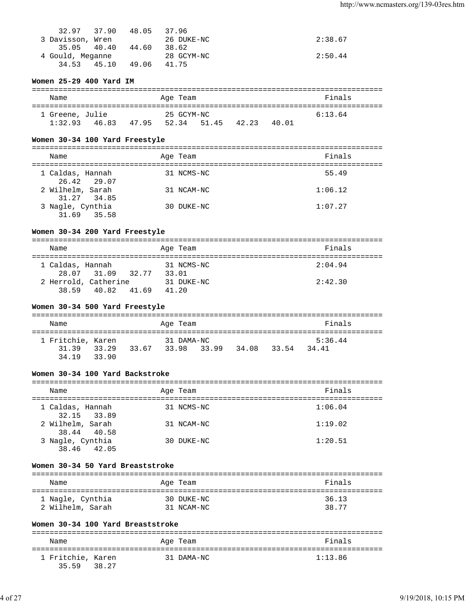| 32.97 37.90 48.05 |       |       | 37.96      |         |
|-------------------|-------|-------|------------|---------|
| 3 Davisson, Wren  |       |       | 26 DUKE-NC | 2:38.67 |
| 35.05 40.40       |       | 44.60 | 38.62      |         |
| 4 Gould, Meganne  |       |       | 28 GCYM-NC | 2:50.44 |
| 34.53             | 45.10 | 49.06 | 41.75      |         |

# **Women 25-29 400 Yard IM**

| Name                       |       |       | Age Team            |       |       |       | Finals  |  |
|----------------------------|-------|-------|---------------------|-------|-------|-------|---------|--|
| 1 Greene, Julie<br>1:32.93 | 46.83 | 47.95 | 25 GCYM-NC<br>52.34 | 51.45 | 42.23 | 40 01 | 6:13.64 |  |

# **Women 30-34 100 Yard Freestyle**

| Name                               | Age Team   | Finals  |
|------------------------------------|------------|---------|
| 1 Caldas, Hannah<br>26.42 29.07    | 31 NCMS-NC | 55.49   |
| 2 Wilhelm, Sarah<br>31.27 34.85    | 31 NCAM-NC | 1:06.12 |
| 3 Nagle, Cynthia<br>31.69<br>35.58 | 30 DUKE-NC | 1:07.27 |

# **Women 30-34 200 Yard Freestyle**

| Name             |                      |       | Age Team   |  | Finals  |  |  |  |
|------------------|----------------------|-------|------------|--|---------|--|--|--|
|                  |                      |       |            |  |         |  |  |  |
| 1 Caldas, Hannah |                      |       | 31 NCMS-NC |  | 2:04.94 |  |  |  |
|                  | 28.07 31.09          | 32.77 | 33.01      |  |         |  |  |  |
|                  | 2 Herrold, Catherine |       | 31 DUKE-NC |  | 2:42.30 |  |  |  |
| 3859             | 40.82                | 41.69 | 41.20      |  |         |  |  |  |

# **Women 30-34 500 Yard Freestyle**

| Name                                      |       |       | Age Team   |             |       |       | Finals           |
|-------------------------------------------|-------|-------|------------|-------------|-------|-------|------------------|
| 1 Fritchie, Karen<br>31.39 33.29<br>34 19 | 33.90 | 33.67 | 31 DAMA-NC | 33.98 33.99 | 34.08 | 33.54 | 5:36.44<br>34.41 |

# **Women 30-34 100 Yard Backstroke**

| Name                            | Age Team   | Finals  |
|---------------------------------|------------|---------|
| 1 Caldas, Hannah<br>32.15 33.89 | 31 NCMS-NC | 1:06.04 |
| 2 Wilhelm, Sarah<br>38.44 40.58 | 31 NCAM-NC | 1:19.02 |
| 3 Nagle, Cynthia<br>38.46 42.05 | 30 DUKE-NC | 1:20.51 |

# **Women 30-34 50 Yard Breaststroke**

| Name             | Age Team   | Finals |
|------------------|------------|--------|
| 1 Nagle, Cynthia | 30 DUKE-NC | 36.13  |
| 2 Wilhelm, Sarah | 31 NCAM-NC | 38.77  |

# **Women 30-34 100 Yard Breaststroke**

| Name                       |       | Age Team   | Finals  |
|----------------------------|-------|------------|---------|
| 1 Fritchie, Karen<br>35 59 | 38.27 | 31 DAMA-NC | 1:13.86 |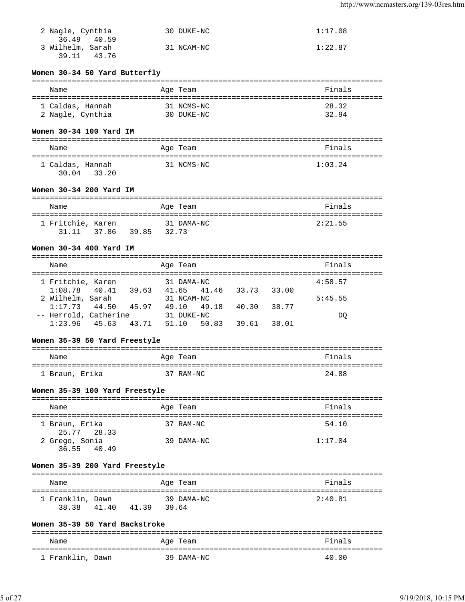| 2 Nagle, Cynthia | 30 DUKE-NC | 1:17.08 |
|------------------|------------|---------|
| 36.49 40.59      |            |         |
| 3 Wilhelm, Sarah | 31 NCAM-NC | 1:22.87 |
| 39.11 43.76      |            |         |

# **Women 30-34 50 Yard Butterfly**

| Name             | Age Team   | Finals |
|------------------|------------|--------|
| 1 Caldas, Hannah | 31 NCMS-NC | 28.32  |
| 2 Nagle, Cynthia | 30 DUKE-NC | 32.94  |

# **Women 30-34 100 Yard IM**

| Name                               | Age Team   | Finals  |
|------------------------------------|------------|---------|
| 1 Caldas, Hannah<br>30.04<br>33.20 | 31 NCMS-NC | 1:03.24 |

# **Women 30-34 200 Yard IM**

| Name              |                   |  | Age Team            | Finals  |
|-------------------|-------------------|--|---------------------|---------|
| 1 Fritchie, Karen | 31.11 37.86 39.85 |  | 31 DAMA-NC<br>32.73 | 2:21.55 |

# **Women 30-34 400 Yard IM**

| Name                  |       | Age Team    |       |       |       | Finals  |
|-----------------------|-------|-------------|-------|-------|-------|---------|
| 1 Fritchie, Karen     |       | 31 DAMA-NC  |       |       |       | 4:58.57 |
| $1:08.78$ 40.41       | 39.63 | 41.65 41.46 |       | 33.73 | 33.00 |         |
| 2 Wilhelm, Sarah      |       | 31 NCAM-NC  |       |       |       | 5:45.55 |
| $1:17.73$ 44.50       | 45.97 | 49.10 49.18 |       | 40.30 | 38.77 |         |
| -- Herrold, Catherine |       | 31 DUKE-NC  |       |       |       | DO.     |
| $1:23.96$ 45.63       | 43.71 | 51.10       | 50.83 | 39.61 | 38.01 |         |

# **Women 35-39 50 Yard Freestyle**

| Name           |  | Age Team  | Finals |
|----------------|--|-----------|--------|
| 1 Braun, Erika |  | 37 RAM-NC | 24.88  |

# **Women 35-39 100 Yard Freestyle**

| Name                          | Age Team   | Finals  |
|-------------------------------|------------|---------|
| 1 Braun, Erika<br>25.77 28.33 | 37 RAM-NC  | 54.10   |
| 2 Grego, Sonia<br>36.55 40.49 | 39 DAMA-NC | 1:17.04 |

# **Women 35-39 200 Yard Freestyle**

| Name                      |       |       | Age Team            | Finals  |
|---------------------------|-------|-------|---------------------|---------|
| 1 Franklin, Dawn<br>38.38 | 41.40 | 41.39 | 39 DAMA-NC<br>39.64 | 2:40.81 |

# **Women 35-39 50 Yard Backstroke**

| Name             | Age Team   | Finals |
|------------------|------------|--------|
| 1 Franklin, Dawn | 39 DAMA-NC | 40.00  |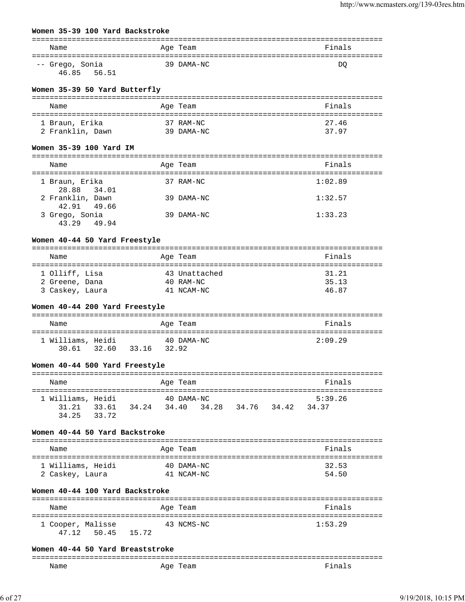#### **Women 35-39 100 Yard Backstroke**

| Name            | Age Team   | Finals |
|-----------------|------------|--------|
|                 |            |        |
| -- Grego, Sonia | 39 DAMA-NC | DO     |
| 46.85<br>56.51  |            |        |

# **Women 35-39 50 Yard Butterfly**

| Name             | Age Team   | Finals |
|------------------|------------|--------|
| 1 Braun, Erika   | 37 RAM-NC  | 27.46  |
| 2 Franklin, Dawn | 39 DAMA-NC | 37.97  |

#### **Women 35-39 100 Yard IM**

| Name                             | Age Team |            | Finals  |
|----------------------------------|----------|------------|---------|
| 1 Braun, Erika<br>28.88 34.01    |          | 37 RAM-NC  | 1:02.89 |
| 2 Franklin, Dawn<br>42.91 49.66  |          | 39 DAMA-NC | 1:32.57 |
| 3 Grego, Sonia<br>43.29<br>49.94 |          | 39 DAMA-NC | 1:33.23 |

### **Women 40-44 50 Yard Freestyle**

| Name            | Age Team      | Finals |
|-----------------|---------------|--------|
| 1 Olliff, Lisa  | 43 Unattached | 31.21  |
| 2 Greene, Dana  | $40$ RAM-NC   | 35.13  |
| 3 Caskey, Laura | 41 NCAM-NC    | 46.87  |

### **Women 40-44 200 Yard Freestyle**

| Name                             |       | Age Team            | Finals  |
|----------------------------------|-------|---------------------|---------|
| 1 Williams, Heidi<br>30.61 32.60 | 33.16 | 40 DAMA-NC<br>32.92 | 2:09.29 |

#### **Women 40-44 500 Yard Freestyle**

| Name                                            |       | Age Team   |                         |  | Finals           |  |
|-------------------------------------------------|-------|------------|-------------------------|--|------------------|--|
| 1 Williams, Heidi<br>31.21 33.61<br>34.25 33.72 | 34.24 | 40 DAMA-NC | 34.40 34.28 34.76 34.42 |  | 5:39.26<br>34.37 |  |

#### **Women 40-44 50 Yard Backstroke**

| Name              | Age Team   | Finals |
|-------------------|------------|--------|
| 1 Williams, Heidi | 40 DAMA-NC | 32.53  |
| 2 Caskey, Laura   | 41 NCAM-NC | 54.50  |

### **Women 40-44 100 Yard Backstroke**

| Name                             |       | Age Team   | Finals  |
|----------------------------------|-------|------------|---------|
| 1 Cooper, Malisse<br>47.12 50.45 | 15.72 | 43 NCMS-NC | 1:53.29 |

#### **Women 40-44 50 Yard Breaststroke**

| ---- |             |  |
|------|-------------|--|
| Name | AGA<br>eall |  |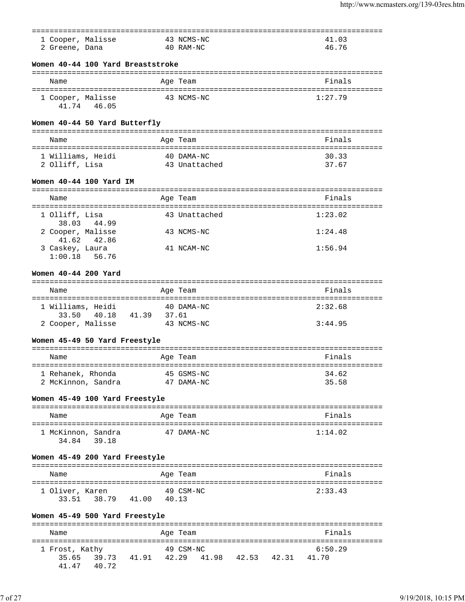|                               |                                   |                                   | ========      |                     |         |  |
|-------------------------------|-----------------------------------|-----------------------------------|---------------|---------------------|---------|--|
| 1 Cooper, Malisse             |                                   |                                   | 43 NCMS-NC    |                     | 41.03   |  |
| 2 Greene, Dana                |                                   |                                   | 40 RAM-NC     |                     | 46.76   |  |
|                               |                                   | Women 40-44 100 Yard Breaststroke |               |                     |         |  |
| Name                          |                                   |                                   | Age Team      |                     | Finals  |  |
| 1 Cooper, Malisse             | 41.74 46.05                       |                                   | 43 NCMS-NC    |                     | 1:27.79 |  |
| Women 40-44 50 Yard Butterfly |                                   |                                   |               |                     |         |  |
| Name                          |                                   |                                   | Age Team      |                     | Finals  |  |
| 1 Williams, Heidi             |                                   |                                   | 40 DAMA-NC    |                     | 30.33   |  |
| 2 Olliff, Lisa                |                                   |                                   | 43 Unattached |                     | 37.67   |  |
| Women 40-44 100 Yard IM       |                                   |                                   |               |                     |         |  |
| Name                          |                                   |                                   | Age Team      |                     | Finals  |  |
| 1 Olliff, Lisa                |                                   |                                   | 43 Unattached |                     | 1:23.02 |  |
| 2 Cooper, Malisse             | 38.03 44.99                       |                                   | 43 NCMS-NC    |                     | 1:24.48 |  |
| 3 Caskey, Laura               | 41.62 42.86<br>$1:00.18$ 56.76    |                                   | 41 NCAM-NC    |                     | 1:56.94 |  |
| Women 40-44 200 Yard          |                                   |                                   |               |                     |         |  |
|                               |                                   |                                   |               |                     |         |  |
| Name                          |                                   |                                   | Age Team      |                     | Finals  |  |
| 1 Williams, Heidi<br>33.50    | 40.18                             | 41.39<br>37.61                    | 40 DAMA-NC    |                     | 2:32.68 |  |
| 2 Cooper, Malisse             |                                   |                                   | 43 NCMS-NC    |                     | 3:44.95 |  |
| Women 45-49 50 Yard Freestyle |                                   |                                   |               |                     |         |  |
| Name                          |                                   |                                   | Age Team      |                     | Finals  |  |
| 1 Rehanek, Rhonda             |                                   |                                   | 45 GSMS-NC    |                     | 34.62   |  |
|                               | 2 McKinnon, Sandra                |                                   | 47 DAMA-NC    |                     | 35.58   |  |
|                               |                                   | Women 45-49 100 Yard Freestyle    |               |                     |         |  |
| Name                          |                                   |                                   | Age Team      |                     | Finals  |  |
|                               | 1 McKinnon, Sandra<br>34.84 39.18 |                                   | 47 DAMA-NC    |                     | 1:14.02 |  |
|                               |                                   | Women 45-49 200 Yard Freestyle    |               |                     |         |  |
| Name                          |                                   |                                   | Age Team      |                     | Finals  |  |
| 1 Oliver, Karen               |                                   | 33.51 38.79 41.00 40.13           | 49 CSM-NC     |                     | 2:33.43 |  |
|                               |                                   | Women 45-49 500 Yard Freestyle    |               |                     |         |  |
| Name                          |                                   |                                   | Age Team      |                     | Finals  |  |
|                               |                                   |                                   |               |                     | 6:50.29 |  |
| 1 Frost, Kathy<br>35.65       |                                   | 39.73 41.91 42.29                 | 49 CSM-NC     | 41.98  42.53  42.31 | 41.70   |  |
|                               | 41.47 40.72                       |                                   |               |                     |         |  |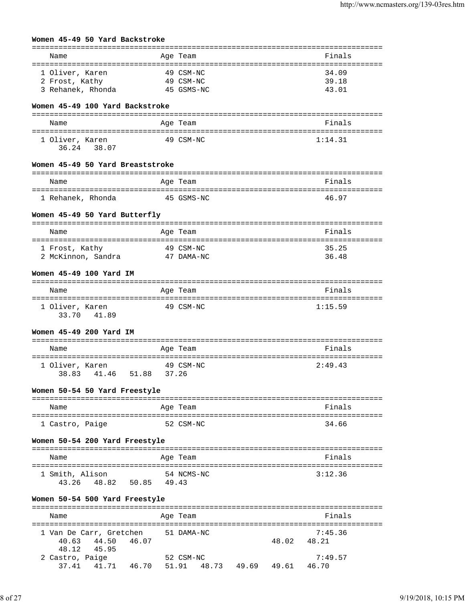|                                                        | Women 45-49 50 Yard Backstroke            |            |                                      |       |                         |  |
|--------------------------------------------------------|-------------------------------------------|------------|--------------------------------------|-------|-------------------------|--|
| Name                                                   |                                           |            | Age Team                             |       | Finals                  |  |
| 1 Oliver, Karen<br>2 Frost, Kathy<br>3 Rehanek, Rhonda |                                           |            | 49 CSM-NC<br>49 CSM-NC<br>45 GSMS-NC |       | 34.09<br>39.18<br>43.01 |  |
|                                                        | Women 45-49 100 Yard Backstroke           |            |                                      |       |                         |  |
|                                                        |                                           |            |                                      |       |                         |  |
| Name                                                   |                                           |            | Age Team                             |       | Finals                  |  |
| 1 Oliver, Karen                                        | 36.24 38.07                               |            | 49 CSM-NC                            |       | 1:14.31                 |  |
|                                                        | Women 45-49 50 Yard Breaststroke          |            |                                      |       |                         |  |
| Name                                                   |                                           |            | Age Team                             |       | Finals                  |  |
| 1 Rehanek, Rhonda                                      |                                           | 45 GSMS-NC |                                      |       | 46.97                   |  |
|                                                        | Women 45-49 50 Yard Butterfly             |            |                                      |       |                         |  |
| Name                                                   |                                           |            | Age Team                             |       | Finals                  |  |
| 1 Frost, Kathy                                         |                                           |            | 49 CSM-NC                            |       | 35.25                   |  |
|                                                        | 2 McKinnon, Sandra                        |            | 47 DAMA-NC                           |       | 36.48                   |  |
|                                                        | Women 45-49 100 Yard IM                   |            |                                      |       |                         |  |
| Name                                                   |                                           |            | Age Team                             |       | Finals                  |  |
| 1 Oliver, Karen                                        | 33.70 41.89                               |            | 49 CSM-NC                            |       | 1:15.59                 |  |
|                                                        | Women 45-49 200 Yard IM                   |            |                                      |       |                         |  |
| Name                                                   |                                           |            | Age Team                             |       | Finals                  |  |
| 1 Oliver, Karen                                        |                                           |            | 49 CSM-NC                            |       | 2:49.43                 |  |
|                                                        | 38.83 41.46 51.88 37.26                   |            |                                      |       |                         |  |
|                                                        | Women 50-54 50 Yard Freestyle             |            |                                      |       |                         |  |
| Name                                                   |                                           |            | Age Team                             |       | Finals                  |  |
| 1 Castro, Paige                                        |                                           |            | 52 CSM-NC                            |       | 34.66                   |  |
|                                                        | Women 50-54 200 Yard Freestyle            |            |                                      |       |                         |  |
|                                                        |                                           |            |                                      |       |                         |  |
| Name                                                   |                                           |            | Age Team                             |       | Finals                  |  |
| 1 Smith, Alison                                        | 43.26 48.82 50.85 49.43                   |            | 54 NCMS-NC                           |       | 3:12.36                 |  |
|                                                        | Women 50-54 500 Yard Freestyle            |            |                                      |       |                         |  |
| Name                                                   |                                           |            | Age Team                             |       | Finals                  |  |
| 40.63<br>48.12                                         | 1 Van De Carr, Gretchen<br>44.50<br>45.95 | 46.07      | 51 DAMA-NC                           | 48.02 | 7:45.36<br>48.21        |  |

| 50.IZ 50.YO                               |  |           |  |         |
|-------------------------------------------|--|-----------|--|---------|
| 2 Castro, Paige                           |  | 52 CSM-NC |  | 7:49.57 |
| 37.41 41.71 46.70 51.91 48.73 49.69 49.61 |  |           |  | 46.70   |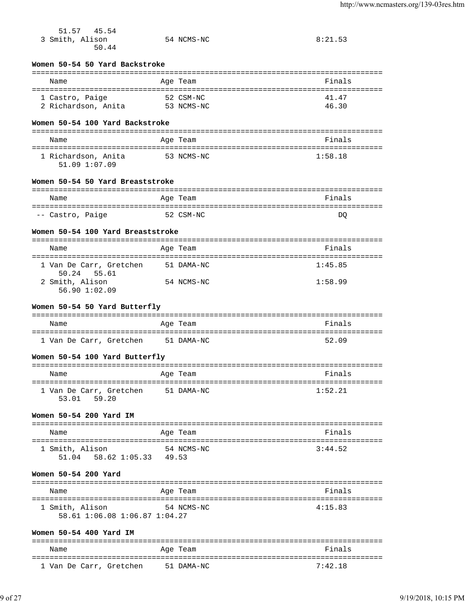| 45.54<br>51.57                                    |            |                |
|---------------------------------------------------|------------|----------------|
| 3 Smith, Alison                                   | 54 NCMS-NC | 8:21.53        |
| 50.44                                             |            |                |
| Women 50-54 50 Yard Backstroke                    |            |                |
| Name                                              | Age Team   | Finals         |
|                                                   |            |                |
| 1 Castro, Paige<br>2 Richardson, Anita 53 NCMS-NC | 52 CSM-NC  | 41.47<br>46.30 |
|                                                   |            |                |
| Women 50-54 100 Yard Backstroke                   |            |                |
| Name                                              | Age Team   | Finals         |
| 1 Richardson, Anita                               | 53 NCMS-NC | 1:58.18        |
| 51.09 1:07.09                                     |            |                |
| Women 50-54 50 Yard Breaststroke                  |            |                |
|                                                   |            |                |
| Name                                              | Age Team   | Finals         |
| -- Castro, Paige                                  | 52 CSM-NC  | DQ             |
| Women 50-54 100 Yard Breaststroke                 |            |                |
|                                                   |            |                |
| Name                                              | Age Team   | Finals         |
| 1 Van De Carr, Gretchen                           | 51 DAMA-NC | 1:45.85        |
| 50.24 55.61<br>2 Smith, Alison                    | 54 NCMS-NC | 1:58.99        |
| 56.90 1:02.09                                     |            |                |
| Women 50-54 50 Yard Butterfly                     |            |                |
|                                                   |            |                |
| Name                                              | Age Team   | Finals         |
| 1 Van De Carr, Gretchen                           | 51 DAMA-NC | 52.09          |
| Women 50-54 100 Yard Butterfly                    |            |                |
|                                                   |            |                |
| Name<br>===============================           | Age Team   | Finals         |
| 1 Van De Carr, Gretchen                           | 51 DAMA-NC | 1:52.21        |
| 53.01 59.20                                       |            |                |
| Women 50-54 200 Yard IM                           |            |                |
| Name                                              | Age Team   | Finals         |
|                                                   |            |                |
| 1 Smith, Alison<br>51.04 58.62 1:05.33 49.53      | 54 NCMS-NC | 3:44.52        |
|                                                   |            |                |
| Women 50-54 200 Yard                              |            |                |
| Name                                              | Age Team   | Finals         |
|                                                   |            |                |
| 1 Smith, Alison<br>58.61 1:06.08 1:06.87 1:04.27  | 54 NCMS-NC | 4:15.83        |
|                                                   |            |                |
| Women 50-54 400 Yard IM                           |            |                |
| Name                                              | Age Team   | Finals         |
|                                                   |            |                |

1 Van De Carr, Gretchen 51 DAMA-NC 7:42.18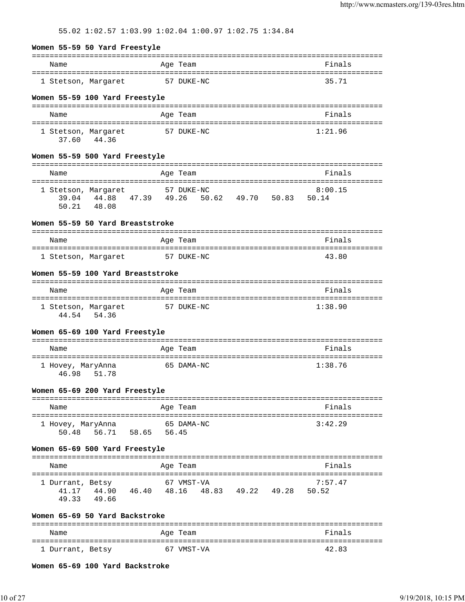55.02 1:02.57 1:03.99 1:02.04 1:00.97 1:02.75 1:34.84

#### **Women 55-59 50 Yard Freestyle**

| Name                | Age Team   | Finals |
|---------------------|------------|--------|
| 1 Stetson, Margaret | 57 DUKE-NC | 35.71  |

#### **Women 55-59 100 Yard Freestyle**

| Name                         |       | Age Team   | Finals  |
|------------------------------|-------|------------|---------|
| 1 Stetson, Margaret<br>37.60 | 44.36 | 57 DUKE-NC | 1:21.96 |

#### **Women 55-59 500 Yard Freestyle**

| Name                |       |       | Age Team   |       |       |       | Finals  |
|---------------------|-------|-------|------------|-------|-------|-------|---------|
|                     |       |       |            |       |       |       |         |
| 1 Stetson, Margaret |       |       | 57 DUKE-NC |       |       |       | 8:00.15 |
| 39.04               | 44.88 | 47.39 | 49.26      | 50.62 | 49.70 | 50.83 | 50.14   |
| 50.21               | 48.08 |       |            |       |       |       |         |

#### **Women 55-59 50 Yard Breaststroke**

| Name                | Age Team   | Finals |
|---------------------|------------|--------|
|                     |            |        |
| 1 Stetson, Margaret | 57 DUKE-NC | 43.80  |

### **Women 55-59 100 Yard Breaststroke**

| Name                         |       | Age Team   | Finals  |
|------------------------------|-------|------------|---------|
| 1 Stetson, Margaret<br>44.54 | 54.36 | 57 DUKE-NC | 1:38.90 |

#### **Women 65-69 100 Yard Freestyle**

| Name                                | Age Team   | Finals  |
|-------------------------------------|------------|---------|
| 1 Hovey, MaryAnna<br>46.98<br>51.78 | 65 DAMA-NC | 1:38.76 |

#### **Women 65-69 200 Yard Freestyle**

| Name              |       |       | Age Team   | Finals  |
|-------------------|-------|-------|------------|---------|
| 1 Hovey, MaryAnna |       |       | 65 DAMA-NC | 3:42.29 |
| 50.48             | 56.71 | 58.65 | 56.45      |         |

#### **Women 65-69 500 Yard Freestyle**

| Name             |       |       | Age Team   |       |       |       | Finals  |  |
|------------------|-------|-------|------------|-------|-------|-------|---------|--|
|                  |       |       |            |       |       |       |         |  |
| 1 Durrant, Betsy |       |       | 67 VMST-VA |       |       |       | 7:57.47 |  |
| 41 17            | 44.90 | 46.40 | 48.16      | 48.83 | 49.22 | 49.28 | 50.52   |  |
| 49.33            | 49.66 |       |            |       |       |       |         |  |

#### **Women 65-69 50 Yard Backstroke**

| Name             | Age Team   | Finals |
|------------------|------------|--------|
| 1 Durrant, Betsy | 67 VMST-VA | 42.83  |

**Women 65-69 100 Yard Backstroke**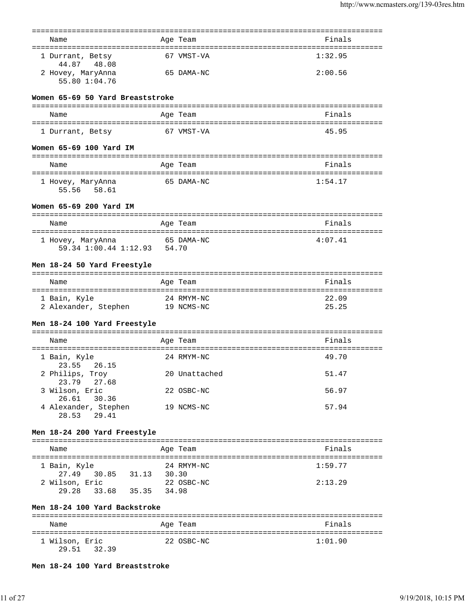|                                                                       |       | ========      |                                              |
|-----------------------------------------------------------------------|-------|---------------|----------------------------------------------|
| Name                                                                  |       | Age Team      | Finals                                       |
| 1 Durrant, Betsy<br>44.87<br>48.08                                    |       | 67 VMST-VA    | 1:32.95                                      |
| 2 Hovey, MaryAnna<br>55.80 1:04.76                                    |       | 65 DAMA-NC    | 2:00.56                                      |
| Women 65-69 50 Yard Breaststroke                                      |       |               |                                              |
| Name                                                                  |       | Age Team      | Finals                                       |
| 1 Durrant, Betsy                                                      |       | 67 VMST-VA    | 45.95                                        |
| Women 65-69 100 Yard IM                                               |       |               |                                              |
| Name                                                                  |       | Age Team      | Finals                                       |
| 1 Hovey, MaryAnna<br>55.56 58.61                                      |       | 65 DAMA-NC    | 1:54.17                                      |
| Women 65-69 200 Yard IM                                               |       |               |                                              |
| Name                                                                  |       | Age Team      | Finals                                       |
|                                                                       |       |               |                                              |
| 1 Hovey, MaryAnna<br>59.34 1:00.44 1:12.93 54.70                      |       | 65 DAMA-NC    | 4:07.41                                      |
| Men 18-24 50 Yard Freestyle                                           |       |               |                                              |
| Name                                                                  |       | Age Team      | Finals                                       |
|                                                                       |       | 24 RMYM-NC    | 22.09                                        |
| 1 Bain, Kyle<br>2 Alexander, Stephen 19 NCMS-NC                       |       |               | 25.25                                        |
| Men 18-24 100 Yard Freestyle                                          |       |               |                                              |
| Name                                                                  |       | Age Team      | Finals                                       |
| ===================================<br>1 Bain, Kyle<br>23.55<br>26.15 |       | 24 RMYM-NC    | -----------------------------------<br>49.70 |
| 2 Philips, Troy<br>23.79<br>27.68                                     |       | 20 Unattached | 51.47                                        |
| 3 Wilson, Eric<br>26.61 30.36                                         |       | 22 OSBC-NC    | 56.97                                        |
| 4 Alexander, Stephen<br>28.53<br>29.41                                |       | 19 NCMS-NC    | 57.94                                        |
| Men 18-24 200 Yard Freestyle                                          |       |               |                                              |
| Name                                                                  |       | Age Team      | Finals                                       |
| 1 Bain, Kyle<br>30.85 31.13<br>27.49                                  | 30.30 | 24 RMYM-NC    | 1:59.77                                      |
| 2 Wilson, Eric<br>29.28 33.68 35.35 34.98                             |       | 22 OSBC-NC    | 2:13.29                                      |
| Men 18-24 100 Yard Backstroke                                         |       |               |                                              |
| Name                                                                  |       | Age Team      | Finals                                       |
| 1 Wilson, Eric                                                        |       | 22 OSBC-NC    | 1:01.90                                      |
| 29.51 32.39                                                           |       |               |                                              |

**Men 18-24 100 Yard Breaststroke**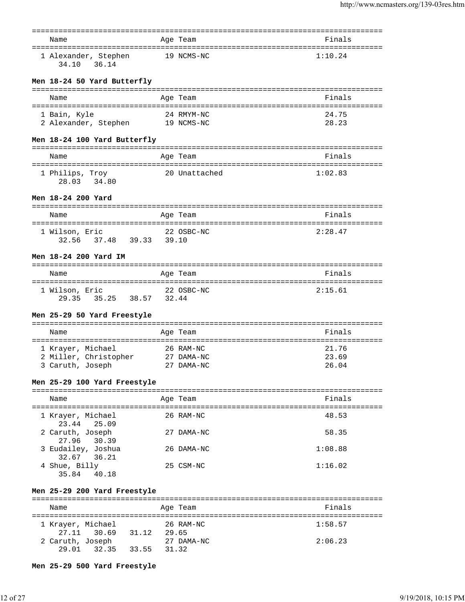| Name                                      |       | Age Team                     | Finals                            |
|-------------------------------------------|-------|------------------------------|-----------------------------------|
|                                           |       |                              |                                   |
| 1 Alexander, Stephen<br>34.10<br>36.14    |       | 19 NCMS-NC                   | 1:10.24                           |
| Men 18-24 50 Yard Butterfly               |       |                              |                                   |
| Name                                      |       | Age Team                     | Finals                            |
| 1 Bain, Kyle                              |       | 24 RMYM-NC                   | 24.75                             |
| 2 Alexander, Stephen 19 NCMS-NC           |       |                              | 28.23                             |
|                                           |       |                              |                                   |
| Men 18-24 100 Yard Butterfly              |       |                              | ================================= |
| Name                                      |       | Age Team                     | Finals                            |
|                                           |       |                              |                                   |
| 1 Philips, Troy<br>28.03 34.80            |       | 20 Unattached                | 1:02.83                           |
| Men 18-24 200 Yard                        |       |                              |                                   |
|                                           |       |                              |                                   |
| Name                                      |       | Age Team                     | Finals                            |
| 1 Wilson, Eric<br>32.56 37.48 39.33 39.10 |       | 22 OSBC-NC                   | 2:28.47                           |
| Men 18-24 200 Yard IM                     |       |                              |                                   |
| Name                                      |       | Age Team                     | Finals                            |
| 1 Wilson, Eric<br>29.35 35.25 38.57 32.44 |       | 22 OSBC-NC                   | 2:15.61                           |
| Men 25-29 50 Yard Freestyle               |       |                              |                                   |
| Name                                      |       | Age Team                     | Finals                            |
|                                           |       |                              |                                   |
| 1 Krayer, Michael                         |       | 26 RAM-NC                    | 21.76<br>23.69                    |
| 2 Miller, Christopher<br>3 Caruth, Joseph |       | 27 DAMA-NC<br>27 DAMA-NC     | 26.04                             |
| Men 25-29 100 Yard Freestyle              |       |                              |                                   |
|                                           |       |                              |                                   |
| Name                                      |       | Age Team                     | Finals                            |
| 1 Krayer, Michael                         |       | 26 RAM-NC                    | 48.53                             |
| 23.44<br>25.09<br>2 Caruth, Joseph        |       | 27 DAMA-NC                   | 58.35                             |
| 27.96<br>30.39<br>3 Eudailey, Joshua      |       | 26 DAMA-NC                   | 1:08.88                           |
| 32.67<br>36.21<br>4 Shue, Billy           |       | 25 CSM-NC                    | 1:16.02                           |
| 35.84<br>40.18                            |       |                              |                                   |
| Men 25-29 200 Yard Freestyle              |       | ===========                  |                                   |
| Name                                      |       | Age Team<br>================ | Finals                            |
| 1 Krayer, Michael                         |       | 26 RAM-NC                    | 1:58.57                           |
| 27.11 30.69<br>31.12                      | 29.65 |                              |                                   |
| 2 Caruth, Joseph                          |       | 27 DAMA-NC                   | 2:06.23                           |
| 29.01<br>32.35<br>33.55                   | 31.32 |                              |                                   |
| Men 25-29 500 Yard Freestyle              |       |                              |                                   |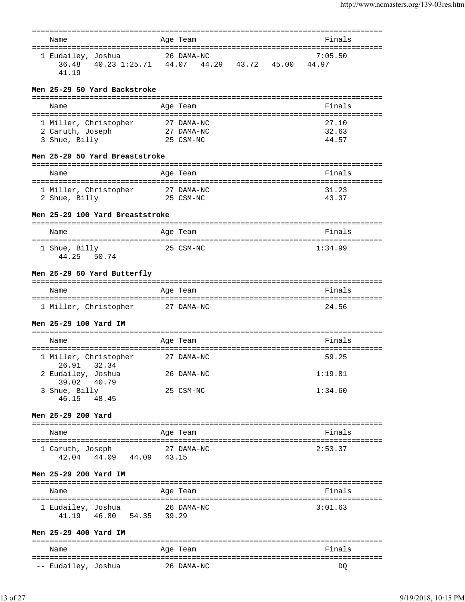| Name                                             | Age Team                                  | ====================================<br>Finals |
|--------------------------------------------------|-------------------------------------------|------------------------------------------------|
|                                                  |                                           |                                                |
| 1 Eudailey, Joshua                               | 26 DAMA-NC                                | 7:05.50                                        |
| 36.48<br>41.19                                   | 40.23 1:25.71  44.07  44.29  43.72  45.00 | 44.97                                          |
|                                                  |                                           |                                                |
| Men 25-29 50 Yard Backstroke                     |                                           |                                                |
|                                                  |                                           |                                                |
| Name                                             | Age Team                                  | Finals                                         |
| 1 Miller, Christopher                            | 27 DAMA-NC                                | 27.10                                          |
| 2 Caruth, Joseph                                 | 27 DAMA-NC                                | 32.63                                          |
| 3 Shue, Billy                                    | 25 CSM-NC                                 | 44.57                                          |
| Men 25-29 50 Yard Breaststroke                   |                                           |                                                |
|                                                  |                                           |                                                |
| Name                                             | Age Team                                  | Finals                                         |
| 1 Miller, Christopher                            | 27 DAMA-NC                                | 31.23                                          |
| 2 Shue, Billy                                    | 25 CSM-NC                                 | 43.37                                          |
|                                                  |                                           |                                                |
| Men 25-29 100 Yard Breaststroke                  |                                           |                                                |
| Name                                             | Age Team                                  | Finals                                         |
| ======================================           |                                           |                                                |
| 1 Shue, Billy<br>44.25 50.74                     | 25 CSM-NC                                 | 1:34.99                                        |
|                                                  |                                           |                                                |
| Men 25-29 50 Yard Butterfly                      |                                           |                                                |
|                                                  |                                           |                                                |
| Name                                             | Age Team                                  | Finals                                         |
| 1 Miller, Christopher                            | 27 DAMA-NC                                | 24.56                                          |
|                                                  |                                           |                                                |
| Men 25-29 100 Yard IM                            |                                           |                                                |
| Name                                             | Age Team                                  | Finals                                         |
|                                                  |                                           |                                                |
| 1 Miller, Christopher<br>32.34<br>26.91          | 27 DAMA-NC                                | 59.25                                          |
| 2 Eudailey, Joshua                               | 26 DAMA-NC                                | 1:19.81                                        |
| 39.02<br>40.79                                   |                                           |                                                |
| 3 Shue, Billy                                    | 25 CSM-NC                                 | 1:34.60                                        |
| 46.15 48.45                                      |                                           |                                                |
| Men 25-29 200 Yard                               |                                           |                                                |
|                                                  |                                           |                                                |
| Name                                             | Age Team                                  | Finals                                         |
| 1 Caruth, Joseph                                 | 27 DAMA-NC                                | 2:53.37                                        |
| 42.04 44.09 44.09 43.15                          |                                           |                                                |
|                                                  |                                           |                                                |
| Men 25-29 200 Yard IM                            |                                           |                                                |
| Name                                             | Age Team                                  | Finals                                         |
|                                                  |                                           |                                                |
| 1 Eudailey, Joshua<br>41.19  46.80  54.35  39.29 | 26 DAMA-NC                                | 3:01.63                                        |
|                                                  |                                           |                                                |
| Men 25-29 400 Yard IM                            |                                           |                                                |
|                                                  |                                           |                                                |
| Name                                             | Age Team                                  | Finals                                         |
| -- Eudailey, Joshua                              | 26 DAMA-NC                                | DO                                             |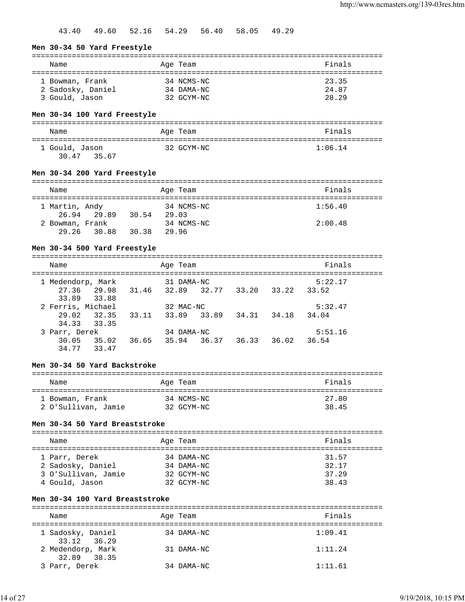43.40 49.60 52.16 54.29 56.40 58.05 49.29

#### **Men 30-34 50 Yard Freestyle**

| Name                                | Age Team                 | Finals         |
|-------------------------------------|--------------------------|----------------|
| 1 Bowman, Frank                     | 34 NCMS-NC               | 23.35          |
| 2 Sadosky, Daniel<br>3 Gould, Jason | 34 DAMA-NC<br>32 GCYM-NC | 24.87<br>28.29 |

# **Men 30-34 100 Yard Freestyle**

| Name                          | Age Team   | Finals  |
|-------------------------------|------------|---------|
| 1 Gould, Jason<br>30.47 35.67 | 32 GCYM-NC | 1:06.14 |

#### **Men 30-34 200 Yard Freestyle**

| Name                     |             |       | Age Team |            | Finals  |  |
|--------------------------|-------------|-------|----------|------------|---------|--|
| 1 Martin, Andy           | 26.94 29.89 | 30.54 | 29.03    | 34 NCMS-NC | 1:56.40 |  |
| 2 Bowman, Frank<br>29.26 | 30.88       | 30.38 | 29.96    | 34 NCMS-NC | 2:00.48 |  |

### **Men 30-34 500 Yard Freestyle**

| Name              |       |       | Age Team   |       |       |       | Finals  |  |
|-------------------|-------|-------|------------|-------|-------|-------|---------|--|
| 1 Medendorp, Mark |       |       | 31 DAMA-NC |       |       |       | 5:22.17 |  |
| 27.36             | 29.98 | 31.46 | 32.89      | 32.77 | 33.20 | 33.22 | 33.52   |  |
| 33.89             | 33.88 |       |            |       |       |       |         |  |
| 2 Ferris, Michael |       |       | 32 MAC-NC  |       |       |       | 5:32.47 |  |
| 29.02             | 32.35 | 33.11 | 33.89      | 33.89 | 34.31 | 34.18 | 34.04   |  |
| 34.33             | 33.35 |       |            |       |       |       |         |  |
| 3 Parr, Derek     |       |       | 34 DAMA-NC |       |       |       | 5:51.16 |  |
| 30.05             | 35.02 | 36.65 | 35.94      | 36.37 | 36.33 | 36.02 | 36.54   |  |
| 34.77             | 33.47 |       |            |       |       |       |         |  |

# **Men 30-34 50 Yard Backstroke**

| Name                | Age Team   | Finals |
|---------------------|------------|--------|
| 1 Bowman, Frank     | 34 NCMS-NC | 27.80  |
| 2 O'Sullivan, Jamie | 32 GCYM-NC | 38.45  |

# **Men 30-34 50 Yard Breaststroke**

# =============================================================================== Name **Age Team** Age Team **Finals** =============================================================================== 1 Parr, Derek 34 DAMA-NC 31.57 2 Sadosky, Daniel 34 DAMA-NC 32.17

| 3 O'Sullivan, Jamie | 32 GCYM-NC | 37.29 |
|---------------------|------------|-------|
| 4 Gould, Jason      | 32 GCYM-NC | 38.43 |
|                     |            |       |

# **Men 30-34 100 Yard Breaststroke**

| Name                             | Age Team   | Finals  |  |  |  |
|----------------------------------|------------|---------|--|--|--|
| 1 Sadosky, Daniel<br>33.12 36.29 | 34 DAMA-NC | 1:09.41 |  |  |  |
| 2 Medendorp, Mark<br>32.89 38.35 | 31 DAMA-NC | 1:11.24 |  |  |  |
| 3 Parr, Derek                    | 34 DAMA-NC | 1:11.61 |  |  |  |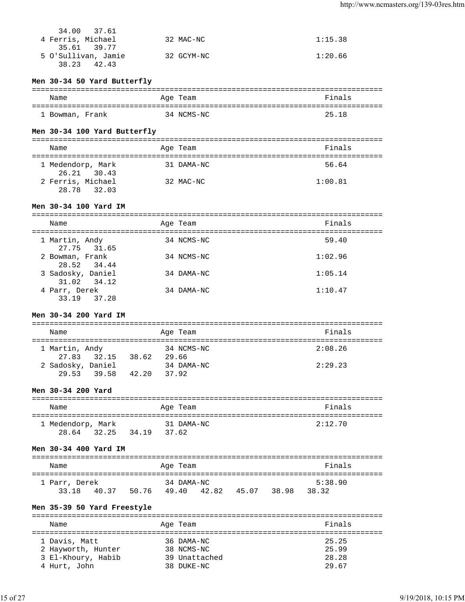| 34.00 37.61<br>4 Ferris, Michael | 32 MAC-NC  | 1:15.38 |
|----------------------------------|------------|---------|
| 35.61 39.77                      |            |         |
| 5 O'Sullivan, Jamie              | 32 GCYM-NC | 1:20.66 |
| 38.23<br>42.43                   |            |         |

# **Men 30-34 50 Yard Butterfly**

| Name            | Age Team   | Finals |
|-----------------|------------|--------|
|                 |            |        |
| 1 Bowman, Frank | 34 NCMS-NC | 25.18  |

# **Men 30-34 100 Yard Butterfly**

| Name                                | Age Team   | Finals  |
|-------------------------------------|------------|---------|
| 1 Medendorp, Mark<br>26.21 30.43    | 31 DAMA-NC | 56.64   |
| 2 Ferris, Michael<br>28.78<br>32.03 | 32 MAC-NC  | 1:00.81 |

# **Men 30-34 100 Yard IM**

| Name                             | Age Team   | Finals  |
|----------------------------------|------------|---------|
| 1 Martin, Andy<br>27.75 31.65    | 34 NCMS-NC | 59.40   |
| 2 Bowman, Frank<br>28.52 34.44   | 34 NCMS-NC | 1:02.96 |
| 3 Sadosky, Daniel<br>31.02 34.12 | 34 DAMA-NC | 1:05.14 |
| 4 Parr, Derek<br>33.19 37.28     | 34 DAMA-NC | 1:10.47 |

# **Men 30-34 200 Yard IM**

| Name              |       |       | Age Team   | Finals  |
|-------------------|-------|-------|------------|---------|
|                   |       |       |            |         |
| 1 Martin, Andy    |       |       | 34 NCMS-NC | 2:08.26 |
| 27.83             | 32.15 | 38.62 | 29.66      |         |
| 2 Sadosky, Daniel |       |       | 34 DAMA-NC | 2:29.23 |
| 29 53             | 39.58 | 42.20 | 37.92      |         |

# **Men 30-34 200 Yard**

| Name              |                | Age Team   | Finals  |
|-------------------|----------------|------------|---------|
| 1 Medendorp, Mark |                | 31 DAMA-NC | 2:12.70 |
| 28.64<br>32.25    | 34.19<br>37.62 |            |         |

### **Men 30-34 400 Yard IM**

| Name          |       |       | Age Team   |       |       |       | Finals  |  |
|---------------|-------|-------|------------|-------|-------|-------|---------|--|
| 1 Parr, Derek |       |       | 34 DAMA-NC |       |       |       | 5:38.90 |  |
| 33 18         | 40.37 | 50.76 | 49.40      | 42.82 | 45.07 | 38.98 | 38.32   |  |

# **Men 35-39 50 Yard Freestyle**

| Name               | Age Team      | Finals |
|--------------------|---------------|--------|
|                    |               |        |
| 1 Davis, Matt      | 36 DAMA-NC    | 25.25  |
| 2 Hayworth, Hunter | 38 NCMS-NC    | 25.99  |
| 3 El-Khoury, Habib | 39 Unattached | 28.28  |
| 4 Hurt, John       | 38 DUKE-NC    | 29.67  |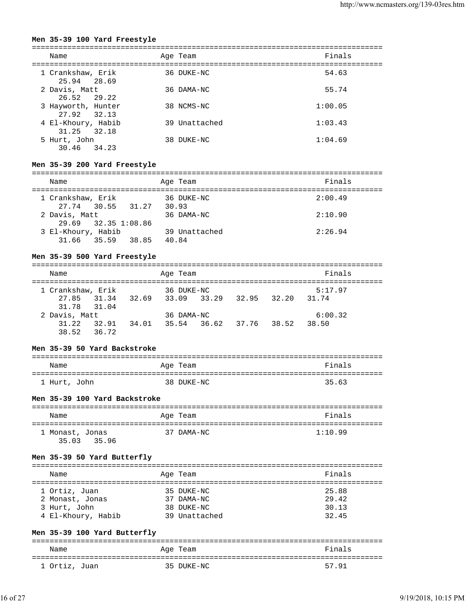### **Men 35-39 100 Yard Freestyle**

| Name                              | Age Team      | Finals  |
|-----------------------------------|---------------|---------|
| 1 Crankshaw, Erik<br>25.94 28.69  | 36 DUKE-NC    | 54.63   |
| 2 Davis, Matt<br>26.52 29.22      | 36 DAMA-NC    | 55.74   |
| 3 Hayworth, Hunter<br>27.92 32.13 | 38 NCMS-NC    | 1:00.05 |
| 4 El-Khoury, Habib<br>31.25 32.18 | 39 Unattached | 1:03.43 |
| 5 Hurt, John<br>30.46 34.23       | 38 DUKE-NC    | 1:04.69 |

# **Men 35-39 200 Yard Freestyle**

| Name                                       | Age Team               | Finals  |
|--------------------------------------------|------------------------|---------|
| 1 Crankshaw, Erik<br>27.74 30.55 31.27     | 36 DUKE-NC<br>30.93    | 2:00.49 |
| 2 Davis, Matt<br>29.69 32.35 1:08.86       | 36 DAMA-NC             | 2:10.90 |
| 3 El-Khoury, Habib<br>38.85<br>31.66 35.59 | 39 Unattached<br>40.84 | 2:26.94 |

### **Men 35-39 500 Yard Freestyle**

| Name              |       |       | Age Team    |       |             | Finals  |  |
|-------------------|-------|-------|-------------|-------|-------------|---------|--|
| 1 Crankshaw, Erik |       |       | 36 DUKE-NC  |       |             | 5:17.97 |  |
| 27.85 31.34       |       | 32.69 | 33.09 33.29 |       | 32.95 32.20 | 31.74   |  |
| 31.78 31.04       |       |       |             |       |             |         |  |
| 2 Davis, Matt     |       |       | 36 DAMA-NC  |       |             | 6:00.32 |  |
| 31.22             | 32.91 | 34.01 | 35.54       | 36.62 | 37.76 38.52 | 38.50   |  |
| 38.52             | 36.72 |       |             |       |             |         |  |

#### **Men 35-39 50 Yard Backstroke**

| Name         | Age Team   | Finals |
|--------------|------------|--------|
| 1 Hurt, John | 38 DUKE-NC | 35.63  |

### **Men 35-39 100 Yard Backstroke**

| Name            | Age Team   | Finals  |
|-----------------|------------|---------|
| 1 Monast, Jonas | 37 DAMA-NC | 1:10.99 |
| 35 03<br>35.96  |            |         |

### **Men 35-39 50 Yard Butterfly**

| Name               | Age Team      | Finals |
|--------------------|---------------|--------|
| 1 Ortiz, Juan      | 35 DUKE-NC    | 25.88  |
| 2 Monast, Jonas    | 37 DAMA-NC    | 29.42  |
| 3 Hurt, John       | 38 DUKE-NC    | 30.13  |
| 4 El-Khoury, Habib | 39 Unattached | 32.45  |

### **Men 35-39 100 Yard Butterfly**

| Name          | Age Team   | Finals |
|---------------|------------|--------|
| 1 Ortiz, Juan | 35 DUKE-NC | 57.91  |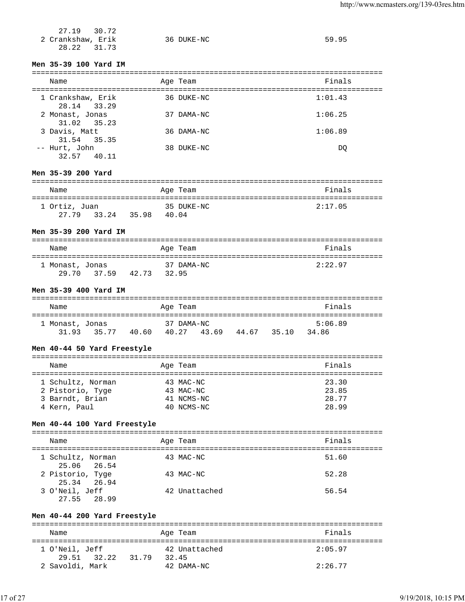| 27.19 30.72       |            |       |
|-------------------|------------|-------|
| 2 Crankshaw, Erik | 36 DUKE-NC | 59.95 |
| 28.22 31.73       |            |       |

# **Men 35-39 100 Yard IM**

| Name                             | Age Team   | Finals  |
|----------------------------------|------------|---------|
| 1 Crankshaw, Erik<br>28.14 33.29 | 36 DUKE-NC | 1:01.43 |
| 2 Monast, Jonas<br>31.02 35.23   | 37 DAMA-NC | 1:06.25 |
| 3 Davis, Matt<br>31.54 35.35     | 36 DAMA-NC | 1:06.89 |
| -- Hurt, John<br>32.57 40.11     | 38 DUKE-NC | DO      |

# **Men 35-39 200 Yard**

| Name          |       |       | Age Team   | Finals  |
|---------------|-------|-------|------------|---------|
| 1 Ortiz, Juan |       |       | 35 DUKE-NC | 2:17.05 |
| 27.79 33.24   | 35.98 | 40.04 |            |         |

# **Men 35-39 200 Yard IM**

| Name            |             |       |       | Age Team   | Finals  |
|-----------------|-------------|-------|-------|------------|---------|
| 1 Monast, Jonas |             |       |       | 37 DAMA-NC | 2:22.97 |
|                 | 29.70 37.59 | 42.73 | 32.95 |            |         |

# **Men 35-39 400 Yard IM**

| Name            |       |       | Age Team   |       |       |       | Finals  |  |
|-----------------|-------|-------|------------|-------|-------|-------|---------|--|
| 1 Monast, Jonas |       |       | 37 DAMA-NC |       |       |       | 5:06.89 |  |
| 31.93           | 35.77 | 40.60 | 40.27      | 43.69 | 44.67 | 35.10 | 34.86   |  |

#### **Men 40-44 50 Yard Freestyle**

| Name                                                                     | Age Team                                           | Finals                           |
|--------------------------------------------------------------------------|----------------------------------------------------|----------------------------------|
| 1 Schultz, Norman<br>2 Pistorio, Tyge<br>3 Barndt, Brian<br>4 Kern, Paul | 43 MAC-NC<br>43 MAC-NC<br>41 NCMS-NC<br>40 NCMS-NC | 23.30<br>23.85<br>28.77<br>28.99 |

### **Men 40-44 100 Yard Freestyle**

| Name                             | Age Team      | Finals |
|----------------------------------|---------------|--------|
| 1 Schultz, Norman<br>25.06 26.54 | 43 MAC-NC     | 51.60  |
| 2 Pistorio, Tyge<br>25.34 26.94  | 43 MAC-NC     | 52.28  |
| 3 O'Neil, Jeff<br>27.55 28.99    | 42 Unattached | 56.54  |

# **Men 40-44 200 Yard Freestyle**

| Name                          |       | Age Team               | Finals  |
|-------------------------------|-------|------------------------|---------|
| 1 O'Neil, Jeff<br>29.51 32.22 | 31.79 | 42 Unattached<br>32.45 | 2:05.97 |
| 2 Savoldi, Mark               |       | 42 DAMA-NC             | 2:26.77 |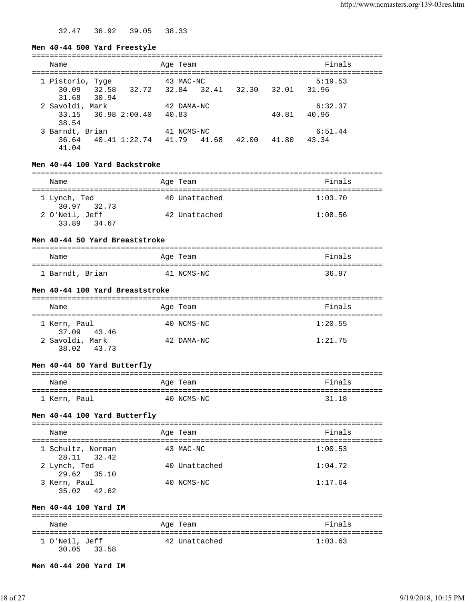32.47 36.92 39.05 38.33

#### **Men 40-44 500 Yard Freestyle**

| Name             |                     |                                 | Age Team   |       |       | Finals  |  |
|------------------|---------------------|---------------------------------|------------|-------|-------|---------|--|
| 1 Pistorio, Tyge |                     |                                 | 43 MAC-NC  |       |       | 5:19.53 |  |
| 30.09            |                     | 32.58 32.72 32.84 32.41         |            | 32.30 | 32.01 | 31.96   |  |
| 31.68            | 30.94               |                                 |            |       |       |         |  |
| 2 Savoldi, Mark  |                     |                                 | 42 DAMA-NC |       |       | 6:32.37 |  |
|                  | 33.15 36.98 2:00.40 |                                 | 40.83      |       | 40.81 | 40.96   |  |
| 38.54            |                     |                                 |            |       |       |         |  |
| 3 Barndt, Brian  |                     |                                 | 41 NCMS-NC |       |       | 6:51.44 |  |
|                  |                     | 36.64 40.41 1:22.74 41.79 41.68 |            | 42.00 | 41.80 | 43.34   |  |
| 41.04            |                     |                                 |            |       |       |         |  |

### **Men 40-44 100 Yard Backstroke**

| Name                          | Age Team      | Finals  |  |  |  |  |
|-------------------------------|---------------|---------|--|--|--|--|
| 1 Lynch, Ted<br>30.97 32.73   | 40 Unattached | 1:03.70 |  |  |  |  |
| 2 O'Neil, Jeff<br>33.89 34.67 | 42 Unattached | 1:08.56 |  |  |  |  |

### **Men 40-44 50 Yard Breaststroke**

| Name            | Age Team   | Finals |
|-----------------|------------|--------|
| 1 Barndt, Brian | 41 NCMS-NC | 36.97  |

#### **Men 40-44 100 Yard Breaststroke**

| Name                     |       | Age Team   | Finals  |
|--------------------------|-------|------------|---------|
| 1 Kern, Paul<br>37.09    | 43.46 | 40 NCMS-NC | 1:20.55 |
| 2 Savoldi, Mark<br>38.02 | 43.73 | 42 DAMA-NC | 1:21.75 |

#### **Men 40-44 50 Yard Butterfly**

| Name         | Age Team   | Finals |
|--------------|------------|--------|
| 1 Kern, Paul | 40 NCMS-NC | 31.18  |

### **Men 40-44 100 Yard Butterfly**

| Name                             | Age Team      | Finals  |
|----------------------------------|---------------|---------|
| 1 Schultz, Norman<br>28.11 32.42 | 43 MAC-NC     | 1:00.53 |
| 2 Lynch, Ted<br>29.62 35.10      | 40 Unattached | 1:04.72 |
| 3 Kern, Paul<br>35.02 42.62      | 40 NCMS-NC    | 1:17.64 |

#### **Men 40-44 100 Yard IM**

| Name                          | Age Team      | Finals  |
|-------------------------------|---------------|---------|
| 1 O'Neil, Jeff<br>30.05 33.58 | 42 Unattached | 1:03.63 |

#### **Men 40-44 200 Yard IM**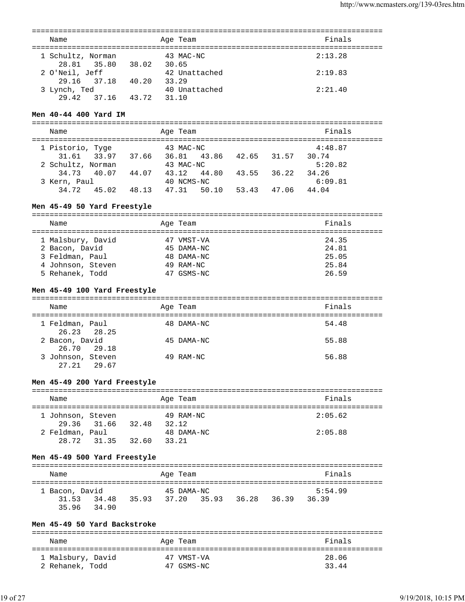| Name                             |       | Age Team               | Finals  |
|----------------------------------|-------|------------------------|---------|
| 1 Schultz, Norman<br>28.81 35.80 | 38.02 | 43 MAC-NC<br>30.65     | 2:13.28 |
| 2 O'Neil, Jeff<br>29.16 37.18    | 40.20 | 42 Unattached<br>33.29 | 2:19.83 |
| 3 Lynch, Ted<br>29.42<br>37.16   | 43.72 | 40 Unattached<br>31.10 | 2:21.40 |

### **Men 40-44 400 Yard IM**

=============================================================================== Name **Age Team** Age Team **Finals** =============================================================================== 1 Pistorio, Tyge  $43$  MAC-NC  $4:48.87$  31.61 33.97 37.66 36.81 43.86 42.65 31.57 30.74 2 Schultz, Norman 43 MAC-NC 5:20.82 34.73 40.07 44.07 43.12 44.80 43.55 36.22 34.26 3 Kern, Paul 40 NCMS-NC 6:09.81 34.72 45.02 48.13 47.31 50.10 53.43 47.06 44.04

### **Men 45-49 50 Yard Freestyle**

=============================================================================== Name **Age Team** Age Team **Finals** =============================================================================== 1 Malsbury, David 47 VMST-VA 24.35 2 Bacon, David 45 DAMA-NC 24.81 3 Feldman, Paul 48 DAMA-NC 25.05 4 Johnson, Steven 5 Rehanek, Todd 47 GSMS-NC 26.59

#### **Men 45-49 100 Yard Freestyle**

| Name                             |  | Age Team   | Finals |
|----------------------------------|--|------------|--------|
| 1 Feldman, Paul<br>26.23 28.25   |  | 48 DAMA-NC | 54.48  |
| 2 Bacon, David<br>26.70 29.18    |  | 45 DAMA-NC | 55.88  |
| 3 Johnson, Steven<br>27.21 29.67 |  | 49 RAM-NC  | 56.88  |

### **Men 45-49 200 Yard Freestyle**

| Name              |             |       | Age Team           | Finals  |
|-------------------|-------------|-------|--------------------|---------|
| 1 Johnson, Steven | 29.36 31.66 | 32.48 | 49 RAM-NC<br>32.12 | 2:05.62 |
| 2 Feldman, Paul   |             |       | 48 DAMA-NC         | 2:05.88 |
| 28.72             | 31.35       | 32.60 | 33.21              |         |

#### **Men 45-49 500 Yard Freestyle**

| Name                                   |       |       | Age Team            |       |       |       | Finals           |  |
|----------------------------------------|-------|-------|---------------------|-------|-------|-------|------------------|--|
| 1 Bacon, David<br>31.53<br>35.96 34.90 | 34.48 | 35.93 | 45 DAMA-NC<br>37.20 | 35.93 | 36.28 | 36.39 | 5:54.99<br>36.39 |  |

#### **Men 45-49 50 Yard Backstroke**

| Name              | Age Team   | Finals |
|-------------------|------------|--------|
| 1 Malsbury, David | 47 VMST-VA | 28.06  |
| 2 Rehanek, Todd   | 47 GSMS-NC | 33.44  |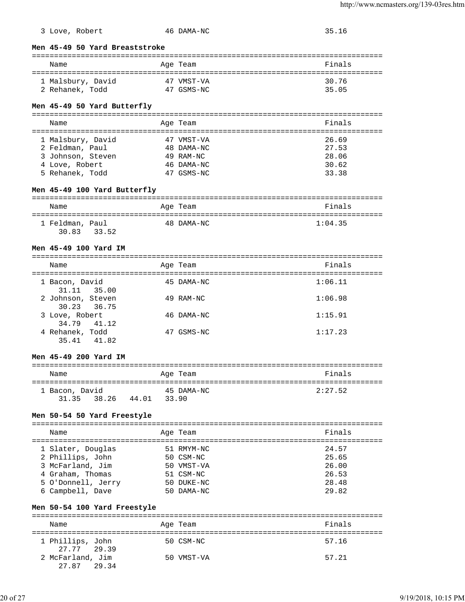|  | 3 Love, | Robert |
|--|---------|--------|
|--|---------|--------|

# 46 DAMA-NC 35.16

**Men 45-49 50 Yard Breaststroke**

| Name              | Age Team   | Finals |
|-------------------|------------|--------|
| 1 Malsbury, David | 47 VMST-VA | 30.76  |
| 2 Rehanek, Todd   | 47 GSMS-NC | 35.05  |

### **Men 45-49 50 Yard Butterfly**

| Name              |  | Age Team   | Finals |
|-------------------|--|------------|--------|
|                   |  |            |        |
| 1 Malsbury, David |  | 47 VMST-VA | 26.69  |
| 2 Feldman, Paul   |  | 48 DAMA-NC | 27.53  |
| 3 Johnson, Steven |  | 49 RAM-NC  | 28.06  |
| 4 Love, Robert    |  | 46 DAMA-NC | 30.62  |
| 5 Rehanek, Todd   |  | 47 GSMS-NC | 33.38  |

# **Men 45-49 100 Yard Butterfly**

| Name            |       | Age Team   | Finals  |
|-----------------|-------|------------|---------|
| 1 Feldman, Paul |       | 48 DAMA-NC | 1:04.35 |
| 30.83           | 33.52 |            |         |

#### **Men 45-49 100 Yard IM**

| Name                             | Age Team   | Finals  |
|----------------------------------|------------|---------|
| 1 Bacon, David<br>31.11 35.00    | 45 DAMA-NC | 1:06.11 |
| 2 Johnson, Steven<br>30.23 36.75 | 49 RAM-NC  | 1:06.98 |
| 3 Love, Robert<br>34.79 41.12    | 46 DAMA-NC | 1:15.91 |
| 4 Rehanek, Todd<br>35.41 41.82   | 47 GSMS-NC | 1:17.23 |

#### **Men 45-49 200 Yard IM**

| Name           |       |       | Age Team   | Finals  |
|----------------|-------|-------|------------|---------|
| 1 Bacon, David |       |       | 45 DAMA-NC | 2:27.52 |
| 31.35 38.26    | 44.01 | 33.90 |            |         |

# **Men 50-54 50 Yard Freestyle**

| Name                                 | Age Team                | Finals         |
|--------------------------------------|-------------------------|----------------|
| 1 Slater, Douglas                    | 51 RMYM-NC              | 24.57          |
| 2 Phillips, John<br>3 McFarland, Jim | 50 CSM-NC<br>50 VMST-VA | 25.65<br>26.00 |
| 4 Graham, Thomas                     | 51 CSM-NC               | 26.53          |
| 5 O'Donnell, Jerry                   | 50 DUKE-NC              | 28.48          |
| 6 Campbell, Dave                     | 50 DAMA-NC              | 29.82          |

### **Men 50-54 100 Yard Freestyle**

| Name                            | Age Team   | Finals |
|---------------------------------|------------|--------|
| 1 Phillips, John<br>27.77 29.39 | 50 CSM-NC  | 57.16  |
| 2 McFarland, Jim<br>27.87 29.34 | 50 VMST-VA | 57.21  |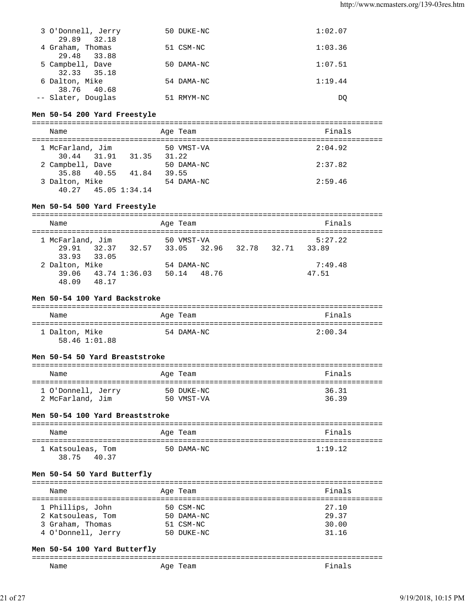| 3 O'Donnell, Jerry<br>29.89<br>32.18 | 50 DUKE-NC | 1:02.07 |
|--------------------------------------|------------|---------|
| 4 Graham, Thomas<br>29.48 33.88      | 51 CSM-NC  | 1:03.36 |
| 5 Campbell, Dave                     | 50 DAMA-NC | 1:07.51 |
| 32.33 35.18<br>6 Dalton, Mike        | 54 DAMA-NC | 1:19.44 |
| 38.76 40.68<br>-- Slater, Douglas    | 51 RMYM-NC | DO      |

# **Men 50-54 200 Yard Freestyle**

| Name                                        |       | Age Team            | Finals  |
|---------------------------------------------|-------|---------------------|---------|
| 1 McFarland, Jim<br>30.44 31.91 31.35       | 31.22 | 50 VMST-VA          | 2:04.92 |
| 2 Campbell, Dave<br>35.88 40.55 41.84       |       | 50 DAMA-NC<br>39.55 | 2:37.82 |
| 3 Dalton, Mike<br>$40.27$ $45.05$ $1:34.14$ |       | 54 DAMA-NC          | 2:59.46 |

# **Men 50-54 500 Yard Freestyle**

| Name |                |                  |                                                 | Age Team    |  | Finals  |  |
|------|----------------|------------------|-------------------------------------------------|-------------|--|---------|--|
|      |                | 1 McFarland, Jim |                                                 | 50 VMST-VA  |  | 5:27.22 |  |
|      |                |                  | 29.91 32.37 32.57 33.05 32.96 32.78 32.71 33.89 |             |  |         |  |
|      |                | 33.93 33.05      |                                                 |             |  |         |  |
|      | 2 Dalton, Mike |                  |                                                 | 54 DAMA-NC  |  | 7:49.48 |  |
|      |                |                  | 39.06 43.74 1:36.03                             | 50.14 48.76 |  | 47.51   |  |
|      | 48.09          | 48.17            |                                                 |             |  |         |  |

#### **Men 50-54 100 Yard Backstroke**

| Name           | Age Team   | Finals  |
|----------------|------------|---------|
| 1 Dalton, Mike | 54 DAMA-NC | 2:00.34 |
| 58.46 1:01.88  |            |         |

#### **Men 50-54 50 Yard Breaststroke**

| Name               | Age Team   | Finals |
|--------------------|------------|--------|
| 1 O'Donnell, Jerry | 50 DUKE-NC | 36.31  |
| 2 McFarland, Jim   | 50 VMST-VA | 36.39  |

#### **Men 50-54 100 Yard Breaststroke**

| Name                   | Age Team   | Finals  |
|------------------------|------------|---------|
| 1 Katsouleas, Tom<br>. | 50 DAMA-NC | 1:19.12 |

# 38.75 40.37

### **Men 50-54 50 Yard Butterfly**

| Finals                  |
|-------------------------|
|                         |
| 27.10<br>29.37<br>30.00 |
| 31.16                   |

# **Men 50-54 100 Yard Butterfly**

| _______ |        |  |
|---------|--------|--|
| Name    | $-101$ |  |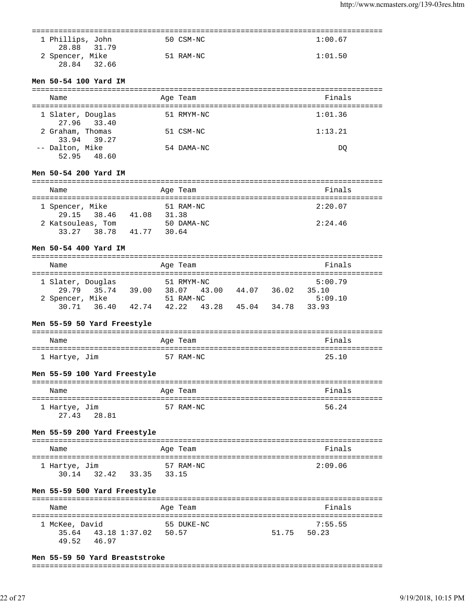| 1 Phillips, John | 50 CSM-NC | 1:00.67 |
|------------------|-----------|---------|
| 28.88 31.79      |           |         |
| 2 Spencer, Mike  | 51 RAM-NC | 1:01.50 |
| 28.84 32.66      |           |         |

# **Men 50-54 100 Yard IM**

| Name                     |             | Age Team   | Finals  |
|--------------------------|-------------|------------|---------|
| 1 Slater, Douglas        | 27.96 33.40 | 51 RMYM-NC | 1:01.36 |
| 2 Graham, Thomas         | 33.94 39.27 | 51 CSM-NC  | 1:13.21 |
| -- Dalton, Mike<br>52.95 | 48.60       | 54 DAMA-NC | DO      |

# **Men 50-54 200 Yard IM**

| Name              |                   |       | Age Team            | Finals  |
|-------------------|-------------------|-------|---------------------|---------|
| 1 Spencer, Mike   | 29.15 38.46       | 41.08 | 51 RAM-NC<br>31.38  | 2:20.07 |
| 2 Katsouleas, Tom | 33.27 38.78 41.77 |       | 50 DAMA-NC<br>30.64 | 2:24.46 |

#### **Men 50-54 400 Yard IM**

| Name              |             |       | Age Team    |       |       |       | Finals  |  |
|-------------------|-------------|-------|-------------|-------|-------|-------|---------|--|
|                   |             |       |             |       |       |       |         |  |
| 1 Slater, Douglas |             |       | 51 RMYM-NC  |       |       |       | 5:00.79 |  |
|                   | 29.79 35.74 | 39.00 | 38.07 43.00 |       | 44.07 | 36.02 | 35.10   |  |
| 2 Spencer, Mike   |             |       | 51 RAM-NC   |       |       |       | 5:09.10 |  |
| 30.71             | 36.40       | 42.74 | 42.22       | 43.28 | 45.04 | 34.78 | 33.93   |  |

### **Men 55-59 50 Yard Freestyle**

| Name          | Age Team  | Finals |
|---------------|-----------|--------|
| 1 Hartye, Jim | 57 RAM-NC | 25.10  |

### **Men 55-59 100 Yard Freestyle**

| Name                            | Age Team  | Finals |
|---------------------------------|-----------|--------|
| 1 Hartye, Jim<br>27.43<br>28.81 | 57 RAM-NC | 56.24  |

#### **Men 55-59 200 Yard Freestyle**

| Name          |       |       | Age Team |           | Finals  |
|---------------|-------|-------|----------|-----------|---------|
| 1 Hartye, Jim |       |       |          | 57 RAM-NC | 2:09.06 |
| 30.14         | 32.42 | 33.35 | 33.15    |           |         |

# **Men 55-59 500 Yard Freestyle**

| Name           |                     | Age Team   |       | Finals  |
|----------------|---------------------|------------|-------|---------|
|                |                     |            |       |         |
| 1 McKee, David |                     | 55 DUKE-NC |       | 7:55.55 |
|                | 35.64 43.18 1:37.02 | 50.57      | 51.75 | 50.23   |
| 49.52          | 46.97               |            |       |         |

### **Men 55-59 50 Yard Breaststroke**

===============================================================================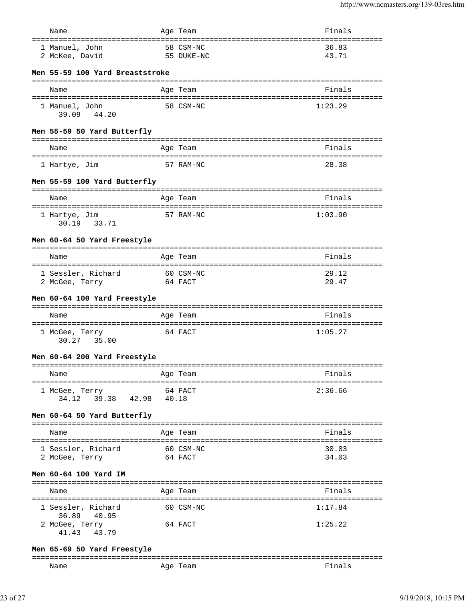| Name                                  | Age Team                            | Finals  |
|---------------------------------------|-------------------------------------|---------|
| ===========================           |                                     |         |
| 1 Manuel, John                        | 58 CSM-NC                           | 36.83   |
| 2 McKee, David                        | 55 DUKE-NC                          | 43.71   |
|                                       |                                     |         |
| Men 55-59 100 Yard Breaststroke       |                                     |         |
| Name                                  | Age Team                            | Finals  |
|                                       |                                     |         |
| 1 Manuel, John                        | 58 CSM-NC                           | 1:23.29 |
| 39.09 44.20                           |                                     |         |
|                                       |                                     |         |
| Men 55-59 50 Yard Butterfly           |                                     |         |
|                                       |                                     |         |
| Name                                  | Age Team                            | Finals  |
|                                       |                                     |         |
| 1 Hartye, Jim                         | 57 RAM-NC                           | 28.38   |
| Men 55-59 100 Yard Butterfly          |                                     |         |
|                                       |                                     |         |
| Name                                  | Age Team                            | Finals  |
|                                       |                                     |         |
| 1 Hartye, Jim                         | 57 RAM-NC                           | 1:03.90 |
| 30.19 33.71                           |                                     |         |
| Men 60-64 50 Yard Freestyle           |                                     |         |
|                                       |                                     |         |
| Name                                  | Age Team                            | Finals  |
|                                       | ----------------------------------- |         |
| 1 Sessler, Richard                    | 60 CSM-NC                           | 29.12   |
| 2 McGee, Terry                        | 64 FACT                             | 29.47   |
|                                       |                                     |         |
|                                       |                                     |         |
| Men 60-64 100 Yard Freestyle          |                                     |         |
|                                       |                                     |         |
| Name                                  | Age Team                            | Finals  |
|                                       | 64 FACT                             | 1:05.27 |
| 1 McGee, Terry<br>30.27 35.00         |                                     |         |
|                                       |                                     |         |
| Men 60-64 200 Yard Freestyle          |                                     |         |
|                                       | ==============================      |         |
| Name                                  | Age Team                            | Finals  |
| ===================================== | :=============                      |         |
| 1 McGee, Terry                        | 64 FACT                             | 2:36.66 |
| 39.38<br>34.12<br>42.98               | 40.18                               |         |
| Men 60-64 50 Yard Butterfly           |                                     |         |
|                                       |                                     |         |
| Name                                  | Age Team                            | Finals  |
|                                       |                                     |         |
| 1 Sessler, Richard                    | 60 CSM-NC                           | 30.03   |
| 2 McGee, Terry                        | 64 FACT                             | 34.03   |
| Men 60-64 100 Yard IM                 |                                     |         |
|                                       |                                     |         |
| Name                                  | Age Team                            | Finals  |
| =========================             | =============<br>===============    |         |
| 1 Sessler, Richard                    | 60 CSM-NC                           | 1:17.84 |
| 36.89<br>40.95                        |                                     |         |
| 2 McGee, Terry                        | 64 FACT                             | 1:25.22 |
| 41.43<br>43.79                        |                                     |         |

#### **Men 65-69 50 Yard Freestyle**

| ----- |            |    |
|-------|------------|----|
| Name  | Aqe<br>cau | na |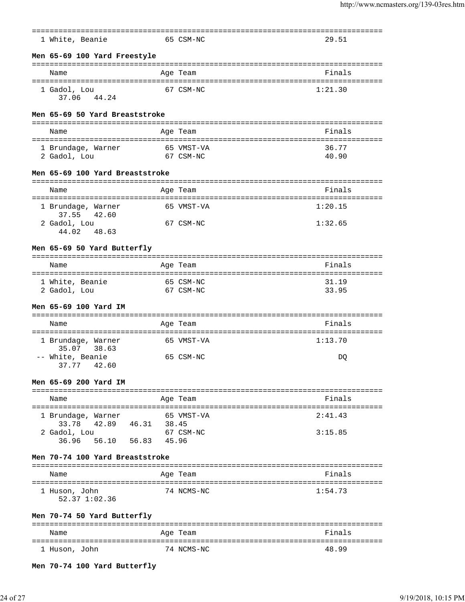|                                                                          |                                                | ================================== |
|--------------------------------------------------------------------------|------------------------------------------------|------------------------------------|
| 1 White, Beanie                                                          | 65 CSM-NC                                      | 29.51                              |
| Men 65-69 100 Yard Freestyle                                             |                                                | ---------------------------------  |
| Name                                                                     | Age Team                                       | Finals                             |
| 1 Gadol, Lou<br>37.06 44.24                                              | 67 CSM-NC                                      | 1:21.30                            |
| Men 65-69 50 Yard Breaststroke                                           |                                                |                                    |
| Name                                                                     | Age Team                                       | Finals                             |
| 1 Brundage, Warner<br>2 Gadol, Lou                                       | 65 VMST-VA<br>67 CSM-NC                        | 36.77<br>40.90                     |
| Men 65-69 100 Yard Breaststroke                                          |                                                |                                    |
| Name                                                                     | Age Team                                       | Finals                             |
| 1 Brundage, Warner<br>37.55<br>42.60                                     | 65 VMST-VA                                     | 1:20.15                            |
| 2 Gadol, Lou<br>44.02<br>48.63                                           | 67 CSM-NC                                      | 1:32.65                            |
| Men 65-69 50 Yard Butterfly<br>--------------                            |                                                |                                    |
| Name                                                                     | Age Team                                       | Finals                             |
| :====================================<br>1 White, Beanie<br>2 Gadol, Lou | ====================<br>65 CSM-NC<br>67 CSM-NC | 31.19<br>33.95                     |
| Men 65-69 100 Yard IM                                                    |                                                |                                    |
| Name                                                                     | Age Team                                       | Finals                             |
| 1 Brundage, Warner<br>38.63<br>35.07                                     | 65 VMST-VA                                     | 1:13.70                            |
| -- White, Beanie<br>37.77 42.60                                          | 65 CSM-NC                                      | DQ                                 |
| Men 65-69 200 Yard IM                                                    |                                                |                                    |
| Name<br>====================================                             | Age Team                                       | Finals                             |
| 1 Brundage, Warner                                                       | 65 VMST-VA                                     | 2:41.43                            |
| 42.89  46.31  38.45<br>33.78<br>2 Gadol, Lou<br>36.96 56.10 56.83 45.96  | 67 CSM-NC                                      | 3:15.85                            |
| Men 70-74 100 Yard Breaststroke                                          |                                                |                                    |
| Name                                                                     | Age Team                                       | Finals                             |
| 1 Huson, John<br>52.37 1:02.36                                           | 74 NCMS-NC                                     | 1:54.73                            |
| Men 70-74 50 Yard Butterfly                                              |                                                |                                    |
| Name                                                                     | ============<br>Age Team                       | Finals                             |
| 1 Huson, John                                                            | 74 NCMS-NC                                     | 48.99                              |

**Men 70-74 100 Yard Butterfly**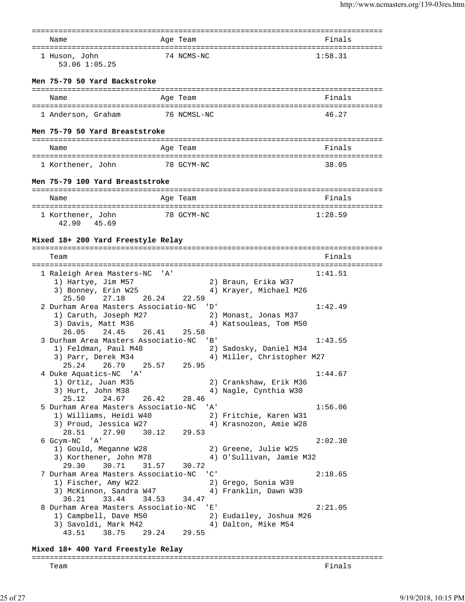| Name                                                        |       | Age Team                   |                           |                                                      | Finals  |
|-------------------------------------------------------------|-------|----------------------------|---------------------------|------------------------------------------------------|---------|
| 1 Huson, John<br>53.06 1:05.25                              |       | 74 NCMS-NC                 |                           |                                                      | 1:58.31 |
| Men 75-79 50 Yard Backstroke                                |       |                            |                           |                                                      |         |
| Name                                                        |       | Age Team                   |                           |                                                      | Finals  |
| 1 Anderson, Graham                                          |       | 76 NCMSL-NC                |                           |                                                      | 46.27   |
| Men 75-79 50 Yard Breaststroke                              |       |                            |                           |                                                      |         |
| Name                                                        |       | Age Team                   |                           |                                                      | Finals  |
| 1 Korthener, John<br>78 GCYM-NC                             |       |                            |                           |                                                      | 38.05   |
| Men 75-79 100 Yard Breaststroke                             |       |                            |                           |                                                      |         |
| Name                                                        |       | Age Team                   |                           |                                                      | Finals  |
|                                                             |       |                            |                           |                                                      |         |
| 1 Korthener, John<br>42.90 45.69                            |       | 78 GCYM-NC                 |                           |                                                      | 1:28.59 |
| Mixed 18+ 200 Yard Freestyle Relay                          |       |                            |                           |                                                      |         |
|                                                             |       |                            |                           |                                                      |         |
| Team                                                        |       |                            |                           |                                                      | Finals  |
| 1 Raleigh Area Masters-NC 'A'                               |       |                            |                           |                                                      | 1:41.51 |
| 1) Hartye, Jim M57                                          |       |                            |                           | 2) Braun, Erika W37                                  |         |
| 3) Bonney, Erin W25                                         |       |                            |                           | 4) Krayer, Michael M26                               |         |
| 25.50 27.18<br>26.24<br>2 Durham Area Masters Associatio-NC |       | 22.59<br>י ם י             |                           |                                                      | 1:42.49 |
| 1) Caruth, Joseph M27                                       |       |                            |                           | 2) Monast, Jonas M37                                 |         |
| 3) Davis, Matt M36                                          |       |                            |                           | 4) Katsouleas, Tom M50                               |         |
| 26.05 24.45<br>26.41                                        |       | 25.58                      |                           |                                                      |         |
| 3 Durham Area Masters Associatio-NC                         |       | $\overline{\phantom{a}}$ B |                           |                                                      | 1:43.55 |
| 1) Feldman, Paul M48<br>3) Parr, Derek M34                  |       |                            |                           | 2) Sadosky, Daniel M34<br>4) Miller, Christopher M27 |         |
| 25.24 26.79 25.57 25.95                                     |       |                            |                           |                                                      |         |
| 4 Duke Aquatics-NC 'A'                                      |       |                            |                           |                                                      | 1:44.67 |
| 1) Ortiz, Juan M35                                          |       |                            |                           | 2) Crankshaw, Erik M36                               |         |
| 3) Hurt, John M38<br>26.42<br>25.12<br>24.67                |       | 28.46                      |                           | 4) Nagle, Cynthia W30                                |         |
| 5 Durham Area Masters Associatio-NC                         |       |                            | ' A'                      |                                                      | 1:56.06 |
| 1) Williams, Heidi W40                                      |       |                            |                           | 2) Fritchie, Karen W31                               |         |
| 3) Proud, Jessica W27                                       |       |                            |                           | 4) Krasnozon, Amie W28                               |         |
| 27.90<br>28.51<br>30.12<br>6 Gcym-NC 'A'                    |       | 29.53                      |                           |                                                      | 2:02.30 |
| 1) Gould, Meganne W28                                       |       |                            |                           | 2) Greene, Julie W25                                 |         |
| 3) Korthener, John M78                                      |       |                            |                           | 4) O'Sullivan, Jamie M32                             |         |
| 31.57<br>29.30<br>30.71                                     |       | 30.72                      |                           |                                                      |         |
| 7 Durham Area Masters Associatio-NC                         |       |                            | $^{\prime}$ C $^{\prime}$ |                                                      | 2:18.65 |
| 1) Fischer, Amy W22<br>3) McKinnon, Sandra W47              |       |                            |                           | 2) Grego, Sonia W39<br>4) Franklin, Dawn W39         |         |
| 36.21<br>33.44<br>34.53                                     |       | 34.47                      |                           |                                                      |         |
| 8 Durham Area Masters Associatio-NC                         |       |                            | 'E'                       |                                                      | 2:21.05 |
| 1) Campbell, Dave M50                                       |       |                            |                           | 2) Eudailey, Joshua M26                              |         |
| 3) Savoldi, Mark M42                                        |       |                            |                           | 4) Dalton, Mike M54                                  |         |
| 43.51<br>38.75                                              | 29.24 | 29.55                      |                           |                                                      |         |

# **Mixed 18+ 400 Yard Freestyle Relay**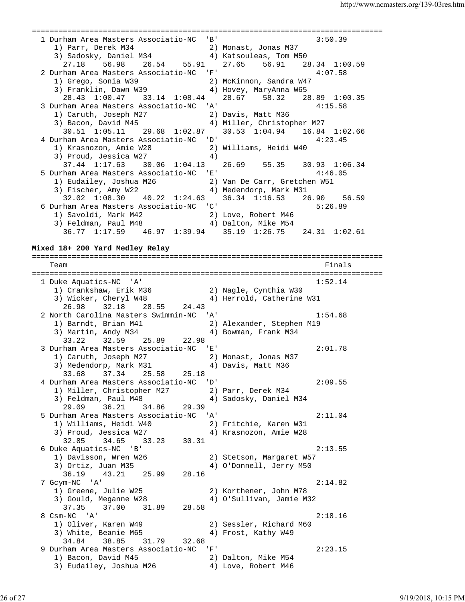=============================================================================== 1 Durham Area Masters Associatio-NC 'B' 3:50.39 1) Parr, Derek M34 2) Monast, Jonas M37 3) Sadosky, Daniel M34 4) Katsouleas, Tom M50 27.18 56.98 26.54 55.91 27.65 56.91 28.34 1:00.59 2 Durham Area Masters Associatio-NC 'F' 4:07.58 1) Grego, Sonia W39 2) McKinnon, Sandra W47 3) Franklin, Dawn W39 4) Hovey, MaryAnna W65 28.43 1:00.47 33.14 1:08.44 28.67 58.32 28.89 1:00.35 3 Durham Area Masters Associatio-NC 'A' 4:15.58 1) Caruth, Joseph M27 2) Davis, Matt M36 3) Bacon, David M45 4) Miller, Christopher M27 30.51 1:05.11 29.68 1:02.87 30.53 1:04.94 16.84 1:02.66 4 Durham Area Masters Associatio-NC 'D' 4:23.45 1) Krasnozon, Amie W28 2) Williams, Heidi W40 3) Proud, Jessica W27 (4) 37.44 1:17.63 30.06 1:04.13 26.69 55.35 30.93 1:06.34 5 Durham Area Masters Associatio-NC 'E' 4:46.05 1) Eudailey, Joshua M26 2) Van De Carr, Gretchen W51 3) Fischer, Amy W22 4) Medendorp, Mark M31 32.02 1:08.30 40.22 1:24.63 36.34 1:16.53 26.90 56.59 6 Durham Area Masters Associatio-NC 'C' 5:26.89 1) Savoldi, Mark M42 2) Love, Robert M46 3) Feldman, Paul M48 4) Dalton, Mike M54 36.77 1:17.59 46.97 1:39.94 35.19 1:26.75 24.31 1:02.61 **Mixed 18+ 200 Yard Medley Relay** =============================================================================== Team Finals =============================================================================== 1 Duke Aquatics-NC 'A' 1:52.14 1) Crankshaw, Erik M36 2) Nagle, Cynthia W30 3) Wicker, Cheryl W48 4) Herrold, Catherine W31 26.98 32.18 28.55 24.43 2 North Carolina Masters Swimmin-NC 'A' 1:54.68 1) Barndt, Brian M41 2) Alexander, Stephen M19 3) Martin, Andy M34 4) Bowman, Frank M34 33.22 32.59 25.89 22.98 3 Durham Area Masters Associatio-NC 'E' 2:01.78 1) Caruth, Joseph M27 2) Monast, Jonas M37 3) Medendorp, Mark M31 4) Davis, Matt M36 33.68 37.34 25.58 25.18 4 Durham Area Masters Associatio-NC 'D' 2:09.55 1) Miller, Christopher M27 2) Parr, Derek M34 3) Feldman, Paul M48 4) Sadosky, Daniel M34 29.09 36.21 34.86 29.39 5 Durham Area Masters Associatio-NC 'A' 2:11.04 1) Williams, Heidi W40 2) Fritchie, Karen W31 3) Proud, Jessica W27 4) Krasnozon, Amie W28 32.85 34.65 33.23 30.31 6 Duke Aquatics-NC 'B' 2:13.55 1) Davisson, Wren W26 2) Stetson, Margaret W57 3) Ortiz, Juan M35 4) O'Donnell, Jerry M50 36.19 43.21 25.99 28.16 7 Gcym-NC 'A' 2:14.82 1) Greene, Julie W25 2) Korthener, John M78 3) Gould, Meganne W28 4) O'Sullivan, Jamie M32 37.35 37.00 31.89 28.58 8 Csm-NC 'A' 2:18.16 1) Oliver, Karen W49 2) Sessler, Richard M60 3) White, Beanie M65  $\hskip1cm 4)$  Frost, Kathy W49 34.84 38.85 31.79 32.68 9 Durham Area Masters Associatio-NC 'F' 2:23.15 1) Bacon, David M45 2) Dalton, Mike M54 3) Eudailey, Joshua M26 4) Love, Robert M46